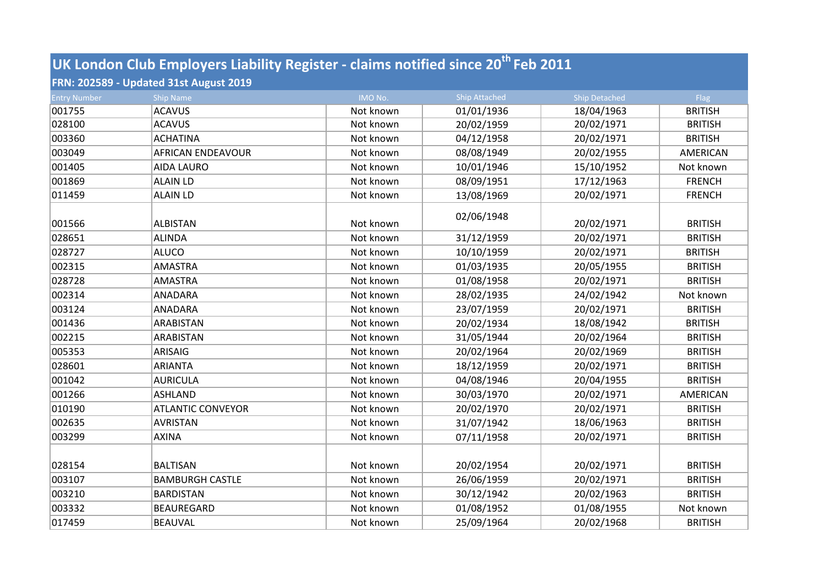## **UK London Club Employers Liability Register - claims notified since 20th Feb 2011**

## **FRN: 202589 - Updated 31st August 2019**

| <b>Entry Number</b> | <b>Ship Name</b>         | IMO No.   | <b>Ship Attached</b> | Ship Detached | Flag           |
|---------------------|--------------------------|-----------|----------------------|---------------|----------------|
| 001755              | <b>ACAVUS</b>            | Not known | 01/01/1936           | 18/04/1963    | <b>BRITISH</b> |
| 028100              | <b>ACAVUS</b>            | Not known | 20/02/1959           | 20/02/1971    | <b>BRITISH</b> |
| 003360              | <b>ACHATINA</b>          | Not known | 04/12/1958           | 20/02/1971    | <b>BRITISH</b> |
| 003049              | <b>AFRICAN ENDEAVOUR</b> | Not known | 08/08/1949           | 20/02/1955    | AMERICAN       |
| 001405              | <b>AIDA LAURO</b>        | Not known | 10/01/1946           | 15/10/1952    | Not known      |
| 001869              | <b>ALAIN LD</b>          | Not known | 08/09/1951           | 17/12/1963    | <b>FRENCH</b>  |
| 011459              | <b>ALAIN LD</b>          | Not known | 13/08/1969           | 20/02/1971    | <b>FRENCH</b>  |
| 001566              | <b>ALBISTAN</b>          | Not known | 02/06/1948           | 20/02/1971    | <b>BRITISH</b> |
| 028651              | <b>ALINDA</b>            | Not known | 31/12/1959           | 20/02/1971    | <b>BRITISH</b> |
| 028727              | <b>ALUCO</b>             | Not known | 10/10/1959           | 20/02/1971    | <b>BRITISH</b> |
| 002315              | <b>AMASTRA</b>           | Not known | 01/03/1935           | 20/05/1955    | <b>BRITISH</b> |
| 028728              | <b>AMASTRA</b>           | Not known | 01/08/1958           | 20/02/1971    | <b>BRITISH</b> |
| 002314              | <b>ANADARA</b>           | Not known | 28/02/1935           | 24/02/1942    | Not known      |
| 003124              | <b>ANADARA</b>           | Not known | 23/07/1959           | 20/02/1971    | <b>BRITISH</b> |
| 001436              | <b>ARABISTAN</b>         | Not known | 20/02/1934           | 18/08/1942    | <b>BRITISH</b> |
| 002215              | ARABISTAN                | Not known | 31/05/1944           | 20/02/1964    | <b>BRITISH</b> |
| 005353              | <b>ARISAIG</b>           | Not known | 20/02/1964           | 20/02/1969    | <b>BRITISH</b> |
| 028601              | <b>ARIANTA</b>           | Not known | 18/12/1959           | 20/02/1971    | <b>BRITISH</b> |
| 001042              | <b>AURICULA</b>          | Not known | 04/08/1946           | 20/04/1955    | <b>BRITISH</b> |
| 001266              | <b>ASHLAND</b>           | Not known | 30/03/1970           | 20/02/1971    | AMERICAN       |
| 010190              | <b>ATLANTIC CONVEYOR</b> | Not known | 20/02/1970           | 20/02/1971    | <b>BRITISH</b> |
| 002635              | <b>AVRISTAN</b>          | Not known | 31/07/1942           | 18/06/1963    | <b>BRITISH</b> |
| 003299              | <b>AXINA</b>             | Not known | 07/11/1958           | 20/02/1971    | <b>BRITISH</b> |
| 028154              | <b>BALTISAN</b>          | Not known | 20/02/1954           | 20/02/1971    | <b>BRITISH</b> |
| 003107              | <b>BAMBURGH CASTLE</b>   | Not known | 26/06/1959           | 20/02/1971    | <b>BRITISH</b> |
| 003210              | <b>BARDISTAN</b>         | Not known | 30/12/1942           | 20/02/1963    | <b>BRITISH</b> |
| 003332              | <b>BEAUREGARD</b>        | Not known | 01/08/1952           | 01/08/1955    | Not known      |
| 017459              | <b>BEAUVAL</b>           | Not known | 25/09/1964           | 20/02/1968    | <b>BRITISH</b> |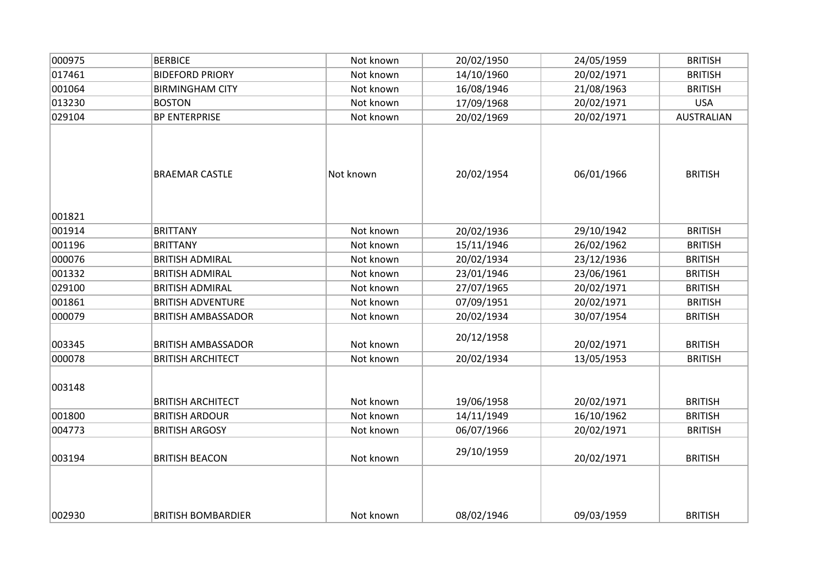| 000975 | <b>BERBICE</b>            | Not known | 20/02/1950 | 24/05/1959 | <b>BRITISH</b>    |
|--------|---------------------------|-----------|------------|------------|-------------------|
| 017461 | <b>BIDEFORD PRIORY</b>    | Not known | 14/10/1960 | 20/02/1971 | <b>BRITISH</b>    |
| 001064 | <b>BIRMINGHAM CITY</b>    | Not known | 16/08/1946 | 21/08/1963 | <b>BRITISH</b>    |
| 013230 | <b>BOSTON</b>             | Not known | 17/09/1968 | 20/02/1971 | <b>USA</b>        |
| 029104 | <b>BP ENTERPRISE</b>      | Not known | 20/02/1969 | 20/02/1971 | <b>AUSTRALIAN</b> |
| 001821 | <b>BRAEMAR CASTLE</b>     | Not known | 20/02/1954 | 06/01/1966 | <b>BRITISH</b>    |
| 001914 | <b>BRITTANY</b>           | Not known | 20/02/1936 | 29/10/1942 | <b>BRITISH</b>    |
| 001196 | <b>BRITTANY</b>           | Not known | 15/11/1946 | 26/02/1962 | <b>BRITISH</b>    |
| 000076 | <b>BRITISH ADMIRAL</b>    | Not known | 20/02/1934 | 23/12/1936 | <b>BRITISH</b>    |
| 001332 | <b>BRITISH ADMIRAL</b>    | Not known | 23/01/1946 | 23/06/1961 | <b>BRITISH</b>    |
| 029100 | <b>BRITISH ADMIRAL</b>    | Not known | 27/07/1965 | 20/02/1971 | <b>BRITISH</b>    |
| 001861 | <b>BRITISH ADVENTURE</b>  | Not known | 07/09/1951 | 20/02/1971 | <b>BRITISH</b>    |
| 000079 | <b>BRITISH AMBASSADOR</b> | Not known | 20/02/1934 | 30/07/1954 | <b>BRITISH</b>    |
| 003345 | <b>BRITISH AMBASSADOR</b> | Not known | 20/12/1958 | 20/02/1971 | <b>BRITISH</b>    |
| 000078 | <b>BRITISH ARCHITECT</b>  | Not known | 20/02/1934 | 13/05/1953 | <b>BRITISH</b>    |
| 003148 | <b>BRITISH ARCHITECT</b>  | Not known | 19/06/1958 | 20/02/1971 | <b>BRITISH</b>    |
| 001800 | <b>BRITISH ARDOUR</b>     | Not known | 14/11/1949 | 16/10/1962 | <b>BRITISH</b>    |
| 004773 | <b>BRITISH ARGOSY</b>     | Not known | 06/07/1966 | 20/02/1971 | <b>BRITISH</b>    |
| 003194 | <b>BRITISH BEACON</b>     | Not known | 29/10/1959 | 20/02/1971 | <b>BRITISH</b>    |
| 002930 | <b>BRITISH BOMBARDIER</b> | Not known | 08/02/1946 | 09/03/1959 | <b>BRITISH</b>    |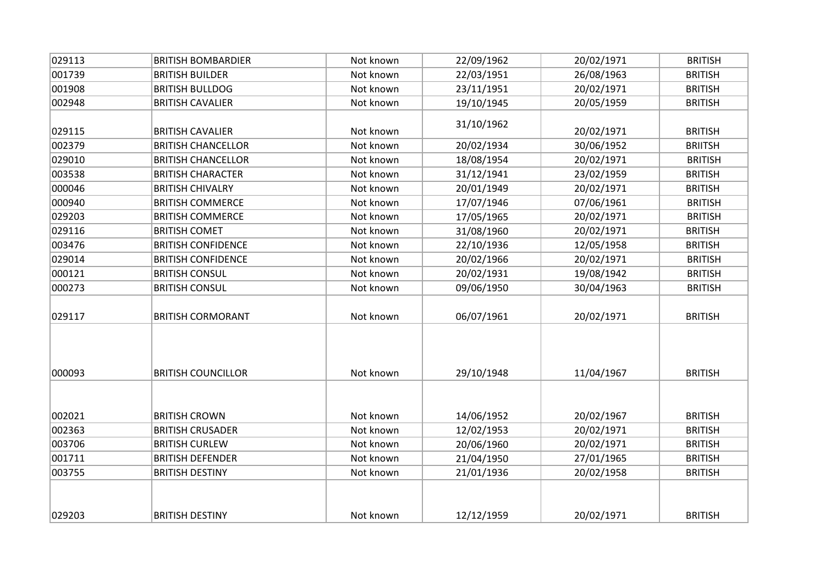| 029113 | <b>BRITISH BOMBARDIER</b> | Not known | 22/09/1962 | 20/02/1971 | <b>BRITISH</b> |
|--------|---------------------------|-----------|------------|------------|----------------|
| 001739 | <b>BRITISH BUILDER</b>    | Not known | 22/03/1951 | 26/08/1963 | <b>BRITISH</b> |
| 001908 | <b>BRITISH BULLDOG</b>    | Not known | 23/11/1951 | 20/02/1971 | <b>BRITISH</b> |
| 002948 | <b>BRITISH CAVALIER</b>   | Not known | 19/10/1945 | 20/05/1959 | <b>BRITISH</b> |
| 029115 | <b>BRITISH CAVALIER</b>   | Not known | 31/10/1962 | 20/02/1971 | <b>BRITISH</b> |
| 002379 | <b>BRITISH CHANCELLOR</b> | Not known | 20/02/1934 | 30/06/1952 | <b>BRIITSH</b> |
| 029010 | <b>BRITISH CHANCELLOR</b> | Not known | 18/08/1954 | 20/02/1971 | <b>BRITISH</b> |
| 003538 | <b>BRITISH CHARACTER</b>  | Not known | 31/12/1941 | 23/02/1959 | <b>BRITISH</b> |
| 000046 | <b>BRITISH CHIVALRY</b>   | Not known | 20/01/1949 | 20/02/1971 | <b>BRITISH</b> |
| 000940 | <b>BRITISH COMMERCE</b>   | Not known | 17/07/1946 | 07/06/1961 | <b>BRITISH</b> |
| 029203 | <b>BRITISH COMMERCE</b>   | Not known | 17/05/1965 | 20/02/1971 | <b>BRITISH</b> |
| 029116 | <b>BRITISH COMET</b>      | Not known | 31/08/1960 | 20/02/1971 | <b>BRITISH</b> |
| 003476 | <b>BRITISH CONFIDENCE</b> | Not known | 22/10/1936 | 12/05/1958 | <b>BRITISH</b> |
| 029014 | <b>BRITISH CONFIDENCE</b> | Not known | 20/02/1966 | 20/02/1971 | <b>BRITISH</b> |
| 000121 | <b>BRITISH CONSUL</b>     | Not known | 20/02/1931 | 19/08/1942 | <b>BRITISH</b> |
| 000273 | <b>BRITISH CONSUL</b>     | Not known | 09/06/1950 | 30/04/1963 | <b>BRITISH</b> |
| 029117 | <b>BRITISH CORMORANT</b>  | Not known | 06/07/1961 | 20/02/1971 | <b>BRITISH</b> |
| 000093 | <b>BRITISH COUNCILLOR</b> | Not known | 29/10/1948 | 11/04/1967 | <b>BRITISH</b> |
| 002021 | <b>BRITISH CROWN</b>      | Not known | 14/06/1952 | 20/02/1967 | <b>BRITISH</b> |
| 002363 | <b>BRITISH CRUSADER</b>   | Not known | 12/02/1953 | 20/02/1971 | <b>BRITISH</b> |
| 003706 | <b>BRITISH CURLEW</b>     | Not known | 20/06/1960 | 20/02/1971 | <b>BRITISH</b> |
| 001711 | <b>BRITISH DEFENDER</b>   | Not known | 21/04/1950 | 27/01/1965 | <b>BRITISH</b> |
| 003755 | <b>BRITISH DESTINY</b>    | Not known | 21/01/1936 | 20/02/1958 | <b>BRITISH</b> |
| 029203 | <b>BRITISH DESTINY</b>    | Not known | 12/12/1959 | 20/02/1971 | <b>BRITISH</b> |
|        |                           |           |            |            |                |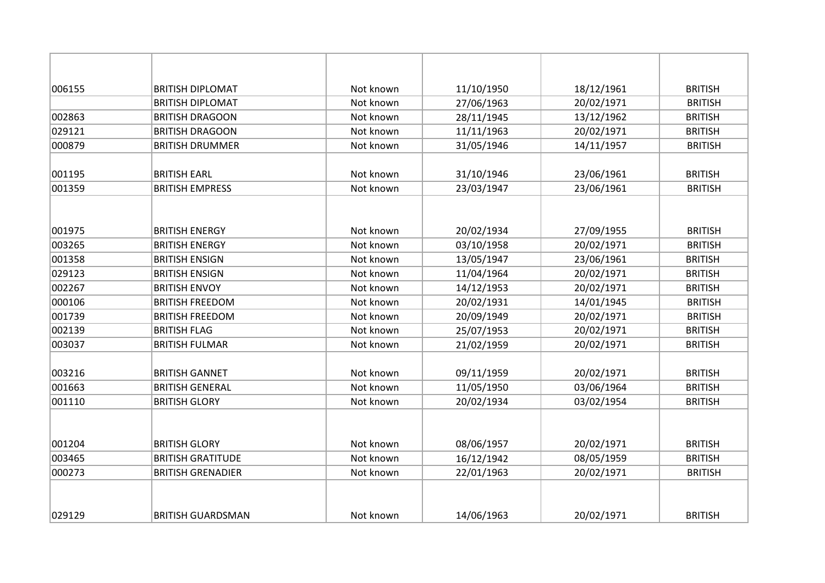| 006155 | <b>BRITISH DIPLOMAT</b>  | Not known | 11/10/1950 | 18/12/1961 | <b>BRITISH</b> |
|--------|--------------------------|-----------|------------|------------|----------------|
|        | <b>BRITISH DIPLOMAT</b>  | Not known | 27/06/1963 | 20/02/1971 | <b>BRITISH</b> |
| 002863 | <b>BRITISH DRAGOON</b>   | Not known | 28/11/1945 | 13/12/1962 | <b>BRITISH</b> |
| 029121 | <b>BRITISH DRAGOON</b>   | Not known | 11/11/1963 | 20/02/1971 | <b>BRITISH</b> |
| 000879 | <b>BRITISH DRUMMER</b>   | Not known | 31/05/1946 | 14/11/1957 | <b>BRITISH</b> |
|        |                          |           |            |            |                |
| 001195 | <b>BRITISH EARL</b>      | Not known | 31/10/1946 | 23/06/1961 | <b>BRITISH</b> |
| 001359 | <b>BRITISH EMPRESS</b>   | Not known | 23/03/1947 | 23/06/1961 | <b>BRITISH</b> |
|        |                          |           |            |            |                |
| 001975 | <b>BRITISH ENERGY</b>    | Not known | 20/02/1934 | 27/09/1955 | <b>BRITISH</b> |
| 003265 | <b>BRITISH ENERGY</b>    | Not known | 03/10/1958 | 20/02/1971 | <b>BRITISH</b> |
| 001358 | <b>BRITISH ENSIGN</b>    | Not known | 13/05/1947 | 23/06/1961 | <b>BRITISH</b> |
| 029123 | <b>BRITISH ENSIGN</b>    | Not known | 11/04/1964 | 20/02/1971 | <b>BRITISH</b> |
| 002267 | <b>BRITISH ENVOY</b>     | Not known | 14/12/1953 | 20/02/1971 | <b>BRITISH</b> |
| 000106 | <b>BRITISH FREEDOM</b>   | Not known | 20/02/1931 | 14/01/1945 | <b>BRITISH</b> |
| 001739 | <b>BRITISH FREEDOM</b>   | Not known | 20/09/1949 | 20/02/1971 | <b>BRITISH</b> |
| 002139 | <b>BRITISH FLAG</b>      | Not known | 25/07/1953 | 20/02/1971 | <b>BRITISH</b> |
| 003037 | <b>BRITISH FULMAR</b>    | Not known | 21/02/1959 | 20/02/1971 | <b>BRITISH</b> |
| 003216 | <b>BRITISH GANNET</b>    | Not known | 09/11/1959 | 20/02/1971 | <b>BRITISH</b> |
| 001663 | <b>BRITISH GENERAL</b>   | Not known | 11/05/1950 | 03/06/1964 | <b>BRITISH</b> |
| 001110 | <b>BRITISH GLORY</b>     | Not known | 20/02/1934 | 03/02/1954 | <b>BRITISH</b> |
| 001204 | <b>BRITISH GLORY</b>     | Not known | 08/06/1957 | 20/02/1971 | <b>BRITISH</b> |
| 003465 | <b>BRITISH GRATITUDE</b> | Not known | 16/12/1942 | 08/05/1959 | <b>BRITISH</b> |
| 000273 | <b>BRITISH GRENADIER</b> | Not known | 22/01/1963 | 20/02/1971 | <b>BRITISH</b> |
|        |                          |           |            |            |                |
| 029129 | <b>BRITISH GUARDSMAN</b> | Not known | 14/06/1963 | 20/02/1971 | <b>BRITISH</b> |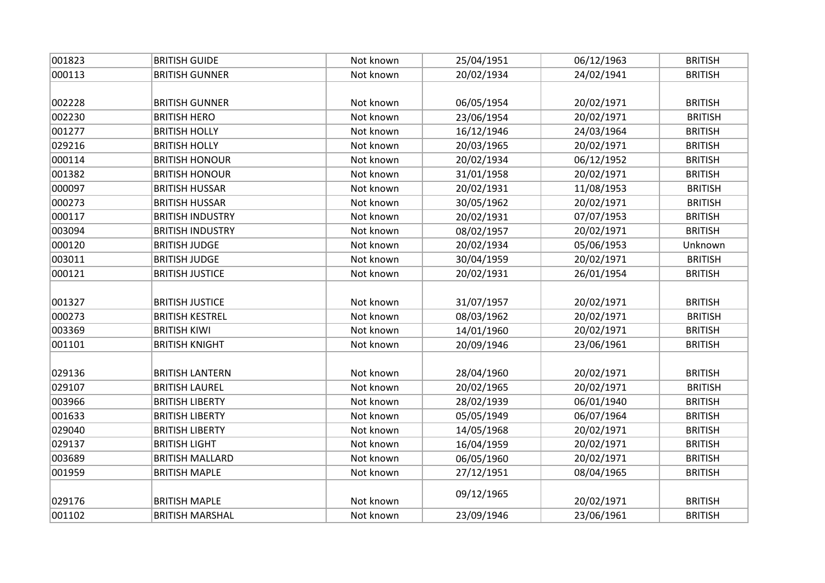| 001823 | <b>BRITISH GUIDE</b>    | Not known | 25/04/1951 | 06/12/1963 | <b>BRITISH</b> |
|--------|-------------------------|-----------|------------|------------|----------------|
| 000113 | <b>BRITISH GUNNER</b>   | Not known | 20/02/1934 | 24/02/1941 | <b>BRITISH</b> |
|        |                         |           |            |            |                |
| 002228 | <b>BRITISH GUNNER</b>   | Not known | 06/05/1954 | 20/02/1971 | <b>BRITISH</b> |
| 002230 | <b>BRITISH HERO</b>     | Not known | 23/06/1954 | 20/02/1971 | <b>BRITISH</b> |
| 001277 | <b>BRITISH HOLLY</b>    | Not known | 16/12/1946 | 24/03/1964 | <b>BRITISH</b> |
| 029216 | <b>BRITISH HOLLY</b>    | Not known | 20/03/1965 | 20/02/1971 | <b>BRITISH</b> |
| 000114 | <b>BRITISH HONOUR</b>   | Not known | 20/02/1934 | 06/12/1952 | <b>BRITISH</b> |
| 001382 | <b>BRITISH HONOUR</b>   | Not known | 31/01/1958 | 20/02/1971 | <b>BRITISH</b> |
| 000097 | <b>BRITISH HUSSAR</b>   | Not known | 20/02/1931 | 11/08/1953 | <b>BRITISH</b> |
| 000273 | <b>BRITISH HUSSAR</b>   | Not known | 30/05/1962 | 20/02/1971 | <b>BRITISH</b> |
| 000117 | <b>BRITISH INDUSTRY</b> | Not known | 20/02/1931 | 07/07/1953 | <b>BRITISH</b> |
| 003094 | <b>BRITISH INDUSTRY</b> | Not known | 08/02/1957 | 20/02/1971 | <b>BRITISH</b> |
| 000120 | <b>BRITISH JUDGE</b>    | Not known | 20/02/1934 | 05/06/1953 | Unknown        |
| 003011 | <b>BRITISH JUDGE</b>    | Not known | 30/04/1959 | 20/02/1971 | <b>BRITISH</b> |
| 000121 | <b>BRITISH JUSTICE</b>  | Not known | 20/02/1931 | 26/01/1954 | <b>BRITISH</b> |
|        |                         |           |            |            |                |
| 001327 | <b>BRITISH JUSTICE</b>  | Not known | 31/07/1957 | 20/02/1971 | <b>BRITISH</b> |
| 000273 | <b>BRITISH KESTREL</b>  | Not known | 08/03/1962 | 20/02/1971 | <b>BRITISH</b> |
| 003369 | <b>BRITISH KIWI</b>     | Not known | 14/01/1960 | 20/02/1971 | <b>BRITISH</b> |
| 001101 | <b>BRITISH KNIGHT</b>   | Not known | 20/09/1946 | 23/06/1961 | <b>BRITISH</b> |
|        |                         |           |            |            |                |
| 029136 | <b>BRITISH LANTERN</b>  | Not known | 28/04/1960 | 20/02/1971 | <b>BRITISH</b> |
| 029107 | <b>BRITISH LAUREL</b>   | Not known | 20/02/1965 | 20/02/1971 | <b>BRITISH</b> |
| 003966 | <b>BRITISH LIBERTY</b>  | Not known | 28/02/1939 | 06/01/1940 | <b>BRITISH</b> |
| 001633 | <b>BRITISH LIBERTY</b>  | Not known | 05/05/1949 | 06/07/1964 | <b>BRITISH</b> |
| 029040 | <b>BRITISH LIBERTY</b>  | Not known | 14/05/1968 | 20/02/1971 | <b>BRITISH</b> |
| 029137 | <b>BRITISH LIGHT</b>    | Not known | 16/04/1959 | 20/02/1971 | <b>BRITISH</b> |
| 003689 | <b>BRITISH MALLARD</b>  | Not known | 06/05/1960 | 20/02/1971 | <b>BRITISH</b> |
| 001959 | <b>BRITISH MAPLE</b>    | Not known | 27/12/1951 | 08/04/1965 | <b>BRITISH</b> |
|        |                         |           | 09/12/1965 |            |                |
| 029176 | <b>BRITISH MAPLE</b>    | Not known |            | 20/02/1971 | <b>BRITISH</b> |
| 001102 | <b>BRITISH MARSHAL</b>  | Not known | 23/09/1946 | 23/06/1961 | <b>BRITISH</b> |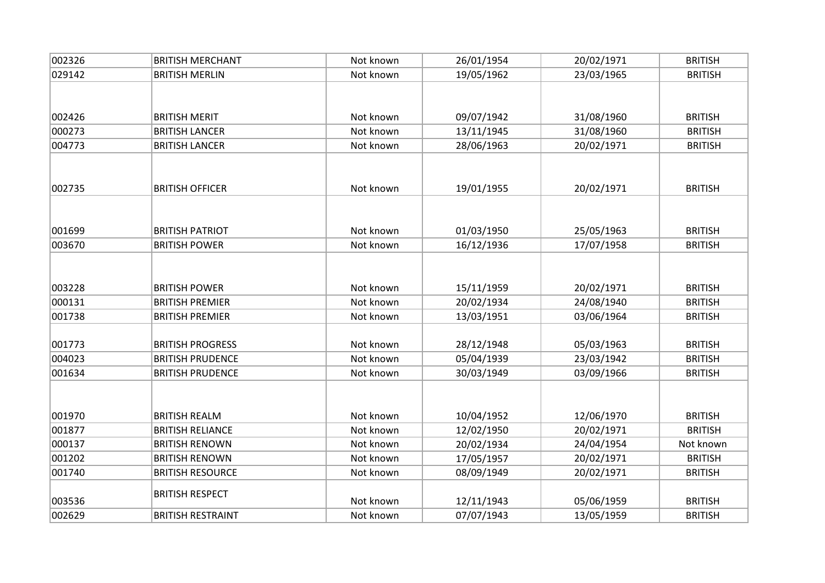| 002326 | <b>BRITISH MERCHANT</b>  | Not known | 26/01/1954 | 20/02/1971 | <b>BRITISH</b> |
|--------|--------------------------|-----------|------------|------------|----------------|
| 029142 | <b>BRITISH MERLIN</b>    | Not known | 19/05/1962 | 23/03/1965 | <b>BRITISH</b> |
|        |                          |           |            |            |                |
|        |                          |           |            |            |                |
| 002426 | <b>BRITISH MERIT</b>     | Not known | 09/07/1942 | 31/08/1960 | <b>BRITISH</b> |
| 000273 | <b>BRITISH LANCER</b>    | Not known | 13/11/1945 | 31/08/1960 | <b>BRITISH</b> |
| 004773 | <b>BRITISH LANCER</b>    | Not known | 28/06/1963 | 20/02/1971 | <b>BRITISH</b> |
|        |                          |           |            |            |                |
|        |                          |           |            |            |                |
| 002735 | <b>BRITISH OFFICER</b>   | Not known | 19/01/1955 | 20/02/1971 | <b>BRITISH</b> |
|        |                          |           |            |            |                |
| 001699 | <b>BRITISH PATRIOT</b>   | Not known | 01/03/1950 | 25/05/1963 | <b>BRITISH</b> |
| 003670 | <b>BRITISH POWER</b>     | Not known | 16/12/1936 | 17/07/1958 | <b>BRITISH</b> |
|        |                          |           |            |            |                |
|        |                          |           |            |            |                |
| 003228 | <b>BRITISH POWER</b>     | Not known | 15/11/1959 | 20/02/1971 | <b>BRITISH</b> |
| 000131 | <b>BRITISH PREMIER</b>   | Not known | 20/02/1934 | 24/08/1940 | <b>BRITISH</b> |
| 001738 | <b>BRITISH PREMIER</b>   | Not known | 13/03/1951 | 03/06/1964 | <b>BRITISH</b> |
|        |                          |           |            |            |                |
| 001773 | <b>BRITISH PROGRESS</b>  | Not known | 28/12/1948 | 05/03/1963 | <b>BRITISH</b> |
| 004023 | <b>BRITISH PRUDENCE</b>  | Not known | 05/04/1939 | 23/03/1942 | <b>BRITISH</b> |
| 001634 | <b>BRITISH PRUDENCE</b>  | Not known | 30/03/1949 | 03/09/1966 | <b>BRITISH</b> |
|        |                          |           |            |            |                |
|        |                          |           |            |            |                |
| 001970 | <b>BRITISH REALM</b>     | Not known | 10/04/1952 | 12/06/1970 | <b>BRITISH</b> |
| 001877 | <b>BRITISH RELIANCE</b>  | Not known | 12/02/1950 | 20/02/1971 | <b>BRITISH</b> |
| 000137 | <b>BRITISH RENOWN</b>    | Not known | 20/02/1934 | 24/04/1954 | Not known      |
| 001202 | <b>BRITISH RENOWN</b>    | Not known | 17/05/1957 | 20/02/1971 | <b>BRITISH</b> |
| 001740 | <b>BRITISH RESOURCE</b>  | Not known | 08/09/1949 | 20/02/1971 | <b>BRITISH</b> |
|        | <b>BRITISH RESPECT</b>   |           |            |            |                |
| 003536 |                          | Not known | 12/11/1943 | 05/06/1959 | <b>BRITISH</b> |
| 002629 | <b>BRITISH RESTRAINT</b> | Not known | 07/07/1943 | 13/05/1959 | <b>BRITISH</b> |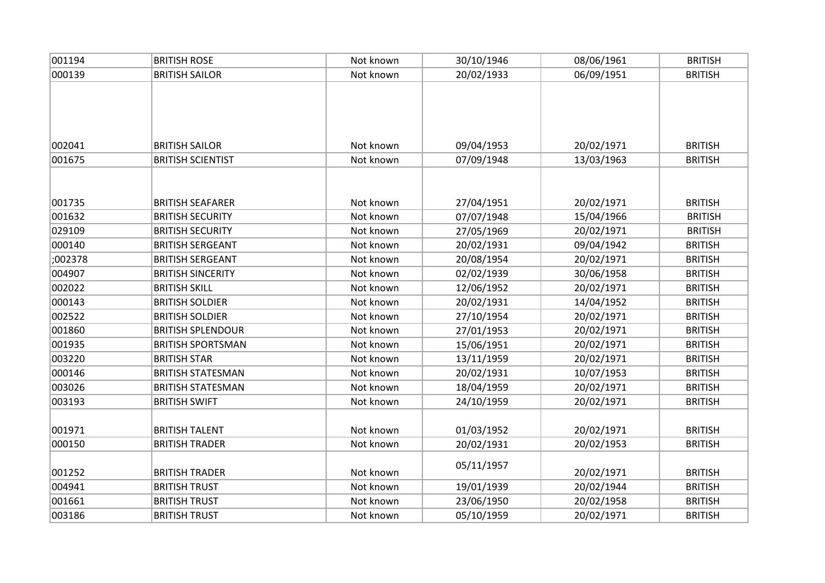| 001194  | <b>BRITISH ROSE</b>      | Not known | 30/10/1946 | 08/06/1961 | <b>BRITISH</b> |
|---------|--------------------------|-----------|------------|------------|----------------|
| 000139  | <b>BRITISH SAILOR</b>    | Not known | 20/02/1933 | 06/09/1951 | <b>BRITISH</b> |
|         |                          |           |            |            |                |
|         |                          |           |            |            |                |
|         |                          |           |            |            |                |
|         |                          |           |            |            |                |
| 002041  | <b>BRITISH SAILOR</b>    | Not known | 09/04/1953 | 20/02/1971 | <b>BRITISH</b> |
| 001675  | <b>BRITISH SCIENTIST</b> | Not known | 07/09/1948 | 13/03/1963 | <b>BRITISH</b> |
|         |                          |           |            |            |                |
|         |                          |           |            |            |                |
| 001735  | <b>BRITISH SEAFARER</b>  | Not known | 27/04/1951 | 20/02/1971 | <b>BRITISH</b> |
| 001632  | <b>BRITISH SECURITY</b>  | Not known | 07/07/1948 | 15/04/1966 | <b>BRITISH</b> |
| 029109  | <b>BRITISH SECURITY</b>  | Not known | 27/05/1969 | 20/02/1971 | <b>BRITISH</b> |
| 000140  | <b>BRITISH SERGEANT</b>  | Not known | 20/02/1931 | 09/04/1942 | <b>BRITISH</b> |
| ;002378 | <b>BRITISH SERGEANT</b>  | Not known | 20/08/1954 | 20/02/1971 | <b>BRITISH</b> |
| 004907  | <b>BRITISH SINCERITY</b> | Not known | 02/02/1939 | 30/06/1958 | <b>BRITISH</b> |
| 002022  | <b>BRITISH SKILL</b>     | Not known | 12/06/1952 | 20/02/1971 | <b>BRITISH</b> |
| 000143  | <b>BRITISH SOLDIER</b>   | Not known | 20/02/1931 | 14/04/1952 | <b>BRITISH</b> |
| 002522  | <b>BRITISH SOLDIER</b>   | Not known | 27/10/1954 | 20/02/1971 | <b>BRITISH</b> |
| 001860  | <b>BRITISH SPLENDOUR</b> | Not known | 27/01/1953 | 20/02/1971 | <b>BRITISH</b> |
| 001935  | <b>BRITISH SPORTSMAN</b> | Not known | 15/06/1951 | 20/02/1971 | <b>BRITISH</b> |
| 003220  | <b>BRITISH STAR</b>      | Not known | 13/11/1959 | 20/02/1971 | <b>BRITISH</b> |
| 000146  | <b>BRITISH STATESMAN</b> | Not known | 20/02/1931 | 10/07/1953 | <b>BRITISH</b> |
| 003026  | <b>BRITISH STATESMAN</b> | Not known | 18/04/1959 | 20/02/1971 | <b>BRITISH</b> |
| 003193  | <b>BRITISH SWIFT</b>     | Not known | 24/10/1959 | 20/02/1971 | <b>BRITISH</b> |
|         |                          |           |            |            |                |
| 001971  | <b>BRITISH TALENT</b>    | Not known | 01/03/1952 | 20/02/1971 | <b>BRITISH</b> |
| 000150  | <b>BRITISH TRADER</b>    | Not known | 20/02/1931 | 20/02/1953 | <b>BRITISH</b> |
|         |                          |           |            |            |                |
| 001252  | <b>BRITISH TRADER</b>    | Not known | 05/11/1957 | 20/02/1971 | <b>BRITISH</b> |
| 004941  | <b>BRITISH TRUST</b>     | Not known | 19/01/1939 | 20/02/1944 | <b>BRITISH</b> |
| 001661  | <b>BRITISH TRUST</b>     | Not known | 23/06/1950 | 20/02/1958 | <b>BRITISH</b> |
| 003186  | <b>BRITISH TRUST</b>     | Not known | 05/10/1959 | 20/02/1971 | <b>BRITISH</b> |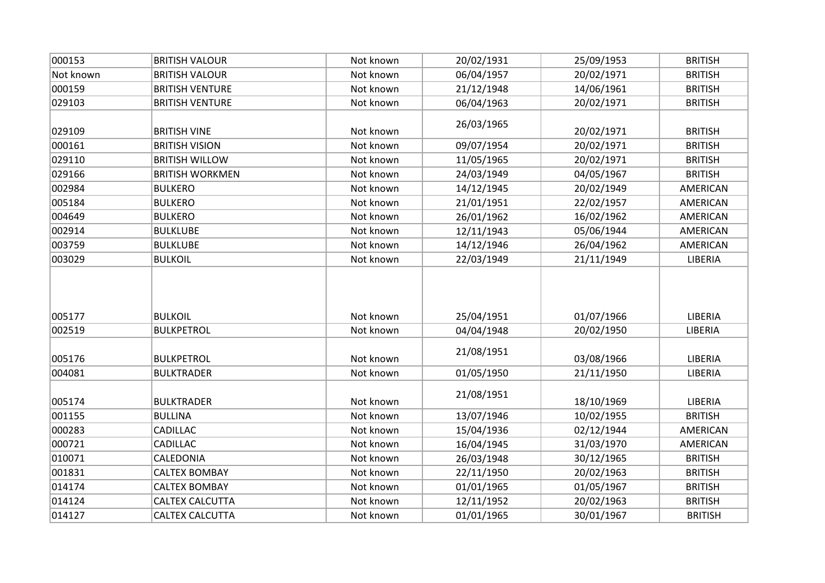| 000153    | <b>BRITISH VALOUR</b>  | Not known | 20/02/1931 | 25/09/1953 | <b>BRITISH</b> |
|-----------|------------------------|-----------|------------|------------|----------------|
| Not known | <b>BRITISH VALOUR</b>  | Not known | 06/04/1957 | 20/02/1971 | <b>BRITISH</b> |
| 000159    | <b>BRITISH VENTURE</b> | Not known | 21/12/1948 | 14/06/1961 | <b>BRITISH</b> |
| 029103    | <b>BRITISH VENTURE</b> | Not known | 06/04/1963 | 20/02/1971 | <b>BRITISH</b> |
| 029109    | <b>BRITISH VINE</b>    | Not known | 26/03/1965 | 20/02/1971 | <b>BRITISH</b> |
| 000161    | <b>BRITISH VISION</b>  | Not known | 09/07/1954 | 20/02/1971 | <b>BRITISH</b> |
| 029110    | <b>BRITISH WILLOW</b>  | Not known | 11/05/1965 | 20/02/1971 | <b>BRITISH</b> |
| 029166    | <b>BRITISH WORKMEN</b> | Not known | 24/03/1949 | 04/05/1967 | <b>BRITISH</b> |
| 002984    | <b>BULKERO</b>         | Not known | 14/12/1945 | 20/02/1949 | AMERICAN       |
| 005184    | <b>BULKERO</b>         | Not known | 21/01/1951 | 22/02/1957 | AMERICAN       |
| 004649    | <b>BULKERO</b>         | Not known | 26/01/1962 | 16/02/1962 | AMERICAN       |
| 002914    | <b>BULKLUBE</b>        | Not known | 12/11/1943 | 05/06/1944 | AMERICAN       |
| 003759    | <b>BULKLUBE</b>        | Not known | 14/12/1946 | 26/04/1962 | AMERICAN       |
| 003029    | <b>BULKOIL</b>         | Not known | 22/03/1949 | 21/11/1949 | LIBERIA        |
| 005177    | <b>BULKOIL</b>         | Not known | 25/04/1951 | 01/07/1966 | LIBERIA        |
| 002519    | <b>BULKPETROL</b>      | Not known | 04/04/1948 | 20/02/1950 | LIBERIA        |
| 005176    | <b>BULKPETROL</b>      | Not known | 21/08/1951 | 03/08/1966 | LIBERIA        |
| 004081    | <b>BULKTRADER</b>      | Not known | 01/05/1950 | 21/11/1950 | LIBERIA        |
| 005174    | <b>BULKTRADER</b>      | Not known | 21/08/1951 | 18/10/1969 | LIBERIA        |
| 001155    | <b>BULLINA</b>         | Not known | 13/07/1946 | 10/02/1955 | <b>BRITISH</b> |
| 000283    | CADILLAC               | Not known | 15/04/1936 | 02/12/1944 | AMERICAN       |
| 000721    | CADILLAC               | Not known | 16/04/1945 | 31/03/1970 | AMERICAN       |
| 010071    | CALEDONIA              | Not known | 26/03/1948 | 30/12/1965 | <b>BRITISH</b> |
| 001831    | <b>CALTEX BOMBAY</b>   | Not known | 22/11/1950 | 20/02/1963 | <b>BRITISH</b> |
| 014174    | <b>CALTEX BOMBAY</b>   | Not known | 01/01/1965 | 01/05/1967 | <b>BRITISH</b> |
| 014124    | <b>CALTEX CALCUTTA</b> | Not known | 12/11/1952 | 20/02/1963 | <b>BRITISH</b> |
| 014127    | CALTEX CALCUTTA        | Not known | 01/01/1965 | 30/01/1967 | <b>BRITISH</b> |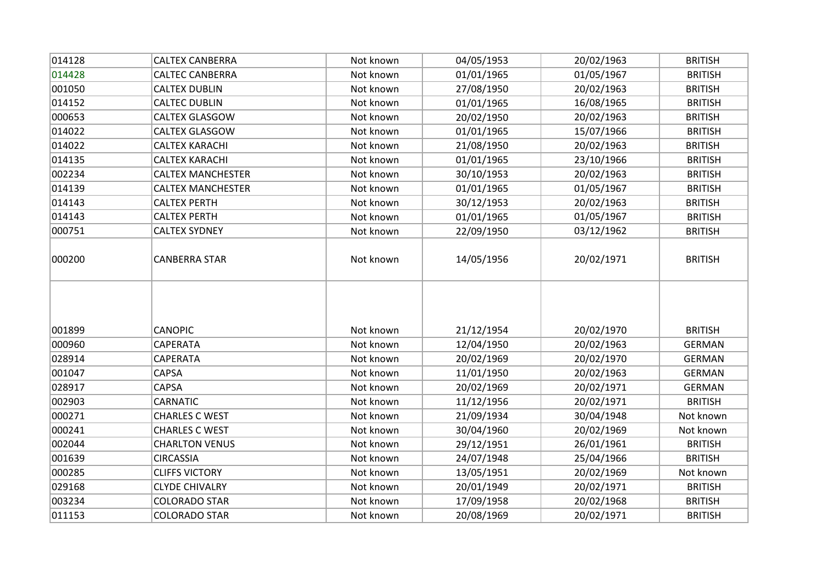| 014128 | <b>CALTEX CANBERRA</b>   | Not known | 04/05/1953 | 20/02/1963 | <b>BRITISH</b> |
|--------|--------------------------|-----------|------------|------------|----------------|
| 014428 | <b>CALTEC CANBERRA</b>   | Not known | 01/01/1965 | 01/05/1967 | <b>BRITISH</b> |
| 001050 | <b>CALTEX DUBLIN</b>     | Not known | 27/08/1950 | 20/02/1963 | <b>BRITISH</b> |
| 014152 | <b>CALTEC DUBLIN</b>     | Not known | 01/01/1965 | 16/08/1965 | <b>BRITISH</b> |
| 000653 | <b>CALTEX GLASGOW</b>    | Not known | 20/02/1950 | 20/02/1963 | <b>BRITISH</b> |
| 014022 | <b>CALTEX GLASGOW</b>    | Not known | 01/01/1965 | 15/07/1966 | <b>BRITISH</b> |
| 014022 | <b>CALTEX KARACHI</b>    | Not known | 21/08/1950 | 20/02/1963 | <b>BRITISH</b> |
| 014135 | <b>CALTEX KARACHI</b>    | Not known | 01/01/1965 | 23/10/1966 | <b>BRITISH</b> |
| 002234 | <b>CALTEX MANCHESTER</b> | Not known | 30/10/1953 | 20/02/1963 | <b>BRITISH</b> |
| 014139 | <b>CALTEX MANCHESTER</b> | Not known | 01/01/1965 | 01/05/1967 | <b>BRITISH</b> |
| 014143 | <b>CALTEX PERTH</b>      | Not known | 30/12/1953 | 20/02/1963 | <b>BRITISH</b> |
| 014143 | <b>CALTEX PERTH</b>      | Not known | 01/01/1965 | 01/05/1967 | <b>BRITISH</b> |
| 000751 | <b>CALTEX SYDNEY</b>     | Not known | 22/09/1950 | 03/12/1962 | <b>BRITISH</b> |
| 000200 | <b>CANBERRA STAR</b>     | Not known | 14/05/1956 | 20/02/1971 | <b>BRITISH</b> |
|        |                          |           |            |            |                |
| 001899 | <b>CANOPIC</b>           | Not known | 21/12/1954 | 20/02/1970 | <b>BRITISH</b> |
| 000960 | CAPERATA                 | Not known | 12/04/1950 | 20/02/1963 | <b>GERMAN</b>  |
| 028914 | CAPERATA                 | Not known | 20/02/1969 | 20/02/1970 | <b>GERMAN</b>  |
| 001047 | CAPSA                    | Not known | 11/01/1950 | 20/02/1963 | <b>GERMAN</b>  |
| 028917 | CAPSA                    | Not known | 20/02/1969 | 20/02/1971 | <b>GERMAN</b>  |
| 002903 | <b>CARNATIC</b>          | Not known | 11/12/1956 | 20/02/1971 | <b>BRITISH</b> |
| 000271 | <b>CHARLES C WEST</b>    | Not known | 21/09/1934 | 30/04/1948 | Not known      |
| 000241 | <b>CHARLES C WEST</b>    | Not known | 30/04/1960 | 20/02/1969 | Not known      |
| 002044 | <b>CHARLTON VENUS</b>    | Not known | 29/12/1951 | 26/01/1961 | <b>BRITISH</b> |
| 001639 | <b>CIRCASSIA</b>         | Not known | 24/07/1948 | 25/04/1966 | <b>BRITISH</b> |
| 000285 | <b>CLIFFS VICTORY</b>    | Not known | 13/05/1951 | 20/02/1969 | Not known      |
| 029168 | <b>CLYDE CHIVALRY</b>    | Not known | 20/01/1949 | 20/02/1971 | <b>BRITISH</b> |
| 003234 | <b>COLORADO STAR</b>     | Not known | 17/09/1958 | 20/02/1968 | <b>BRITISH</b> |
| 011153 | <b>COLORADO STAR</b>     | Not known | 20/08/1969 | 20/02/1971 | <b>BRITISH</b> |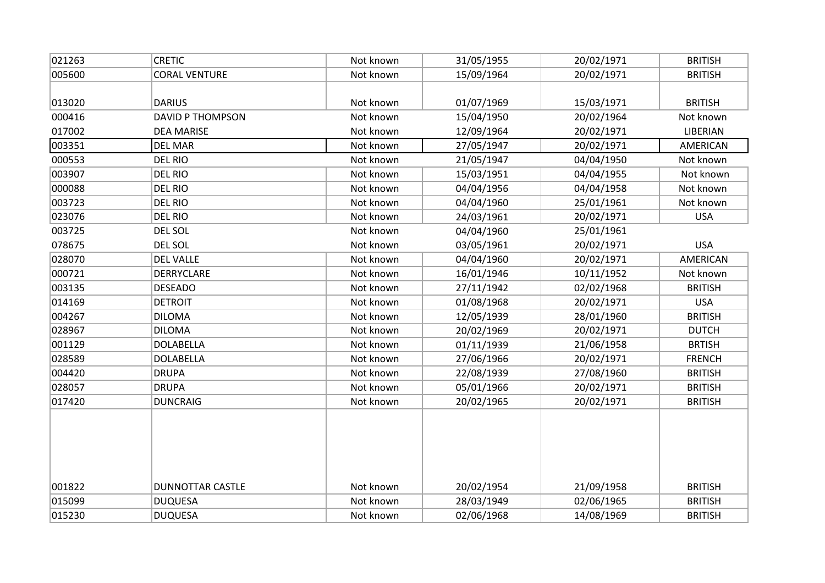| 021263 | <b>CRETIC</b>           | Not known | 31/05/1955 | 20/02/1971 | <b>BRITISH</b> |
|--------|-------------------------|-----------|------------|------------|----------------|
| 005600 | <b>CORAL VENTURE</b>    | Not known | 15/09/1964 | 20/02/1971 | <b>BRITISH</b> |
|        |                         |           |            |            |                |
| 013020 | <b>DARIUS</b>           | Not known | 01/07/1969 | 15/03/1971 | <b>BRITISH</b> |
| 000416 | <b>DAVID P THOMPSON</b> | Not known | 15/04/1950 | 20/02/1964 | Not known      |
| 017002 | <b>DEA MARISE</b>       | Not known | 12/09/1964 | 20/02/1971 | LIBERIAN       |
| 003351 | <b>DEL MAR</b>          | Not known | 27/05/1947 | 20/02/1971 | AMERICAN       |
| 000553 | <b>DEL RIO</b>          | Not known | 21/05/1947 | 04/04/1950 | Not known      |
| 003907 | <b>DEL RIO</b>          | Not known | 15/03/1951 | 04/04/1955 | Not known      |
| 000088 | <b>DEL RIO</b>          | Not known | 04/04/1956 | 04/04/1958 | Not known      |
| 003723 | <b>DEL RIO</b>          | Not known | 04/04/1960 | 25/01/1961 | Not known      |
| 023076 | <b>DEL RIO</b>          | Not known | 24/03/1961 | 20/02/1971 | <b>USA</b>     |
| 003725 | DEL SOL                 | Not known | 04/04/1960 | 25/01/1961 |                |
| 078675 | DEL SOL                 | Not known | 03/05/1961 | 20/02/1971 | <b>USA</b>     |
| 028070 | <b>DEL VALLE</b>        | Not known | 04/04/1960 | 20/02/1971 | AMERICAN       |
| 000721 | DERRYCLARE              | Not known | 16/01/1946 | 10/11/1952 | Not known      |
| 003135 | <b>DESEADO</b>          | Not known | 27/11/1942 | 02/02/1968 | <b>BRITISH</b> |
| 014169 | <b>DETROIT</b>          | Not known | 01/08/1968 | 20/02/1971 | <b>USA</b>     |
| 004267 | <b>DILOMA</b>           | Not known | 12/05/1939 | 28/01/1960 | <b>BRITISH</b> |
| 028967 | <b>DILOMA</b>           | Not known | 20/02/1969 | 20/02/1971 | <b>DUTCH</b>   |
| 001129 | <b>DOLABELLA</b>        | Not known | 01/11/1939 | 21/06/1958 | <b>BRTISH</b>  |
| 028589 | <b>DOLABELLA</b>        | Not known | 27/06/1966 | 20/02/1971 | <b>FRENCH</b>  |
| 004420 | <b>DRUPA</b>            | Not known | 22/08/1939 | 27/08/1960 | <b>BRITISH</b> |
| 028057 | <b>DRUPA</b>            | Not known | 05/01/1966 | 20/02/1971 | <b>BRITISH</b> |
| 017420 | <b>DUNCRAIG</b>         | Not known | 20/02/1965 | 20/02/1971 | <b>BRITISH</b> |
|        |                         |           |            |            |                |
|        |                         |           |            |            |                |
|        |                         |           |            |            |                |
|        |                         |           |            |            |                |
|        |                         |           |            |            |                |
| 001822 | <b>DUNNOTTAR CASTLE</b> | Not known | 20/02/1954 | 21/09/1958 | <b>BRITISH</b> |
| 015099 | <b>DUQUESA</b>          | Not known | 28/03/1949 | 02/06/1965 | <b>BRITISH</b> |
| 015230 | <b>DUQUESA</b>          | Not known | 02/06/1968 | 14/08/1969 | <b>BRITISH</b> |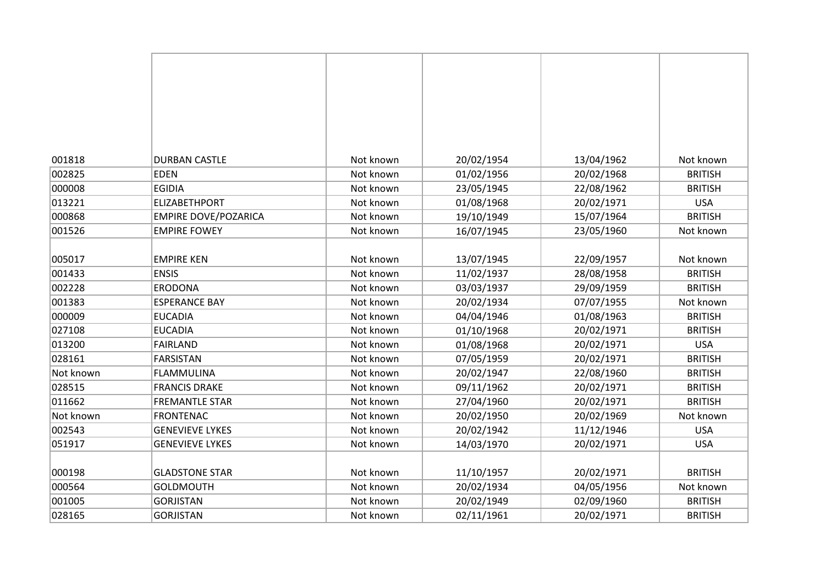| 001818    | <b>DURBAN CASTLE</b>        | Not known | 20/02/1954 | 13/04/1962 | Not known      |
|-----------|-----------------------------|-----------|------------|------------|----------------|
| 002825    | <b>EDEN</b>                 | Not known | 01/02/1956 | 20/02/1968 | <b>BRITISH</b> |
| 000008    | <b>EGIDIA</b>               | Not known | 23/05/1945 | 22/08/1962 | <b>BRITISH</b> |
| 013221    | <b>ELIZABETHPORT</b>        | Not known | 01/08/1968 | 20/02/1971 | <b>USA</b>     |
| 000868    | <b>EMPIRE DOVE/POZARICA</b> | Not known | 19/10/1949 | 15/07/1964 | <b>BRITISH</b> |
| 001526    | <b>EMPIRE FOWEY</b>         | Not known | 16/07/1945 | 23/05/1960 | Not known      |
|           |                             |           |            |            |                |
| 005017    | <b>EMPIRE KEN</b>           | Not known | 13/07/1945 | 22/09/1957 | Not known      |
| 001433    | <b>ENSIS</b>                | Not known | 11/02/1937 | 28/08/1958 | <b>BRITISH</b> |
| 002228    | <b>ERODONA</b>              | Not known | 03/03/1937 | 29/09/1959 | <b>BRITISH</b> |
| 001383    | <b>ESPERANCE BAY</b>        | Not known | 20/02/1934 | 07/07/1955 | Not known      |
| 000009    | <b>EUCADIA</b>              | Not known | 04/04/1946 | 01/08/1963 | <b>BRITISH</b> |
| 027108    | <b>EUCADIA</b>              | Not known | 01/10/1968 | 20/02/1971 | <b>BRITISH</b> |
| 013200    | <b>FAIRLAND</b>             | Not known | 01/08/1968 | 20/02/1971 | <b>USA</b>     |
| 028161    | <b>FARSISTAN</b>            | Not known | 07/05/1959 | 20/02/1971 | <b>BRITISH</b> |
| Not known | <b>FLAMMULINA</b>           | Not known | 20/02/1947 | 22/08/1960 | <b>BRITISH</b> |
| 028515    | <b>FRANCIS DRAKE</b>        | Not known | 09/11/1962 | 20/02/1971 | <b>BRITISH</b> |
| 011662    | <b>FREMANTLE STAR</b>       | Not known | 27/04/1960 | 20/02/1971 | <b>BRITISH</b> |
| Not known | <b>FRONTENAC</b>            | Not known | 20/02/1950 | 20/02/1969 | Not known      |
| 002543    | <b>GENEVIEVE LYKES</b>      | Not known | 20/02/1942 | 11/12/1946 | <b>USA</b>     |
| 051917    | <b>GENEVIEVE LYKES</b>      | Not known | 14/03/1970 | 20/02/1971 | <b>USA</b>     |
|           |                             |           |            |            |                |
| 000198    | <b>GLADSTONE STAR</b>       | Not known | 11/10/1957 | 20/02/1971 | <b>BRITISH</b> |
| 000564    | <b>GOLDMOUTH</b>            | Not known | 20/02/1934 | 04/05/1956 | Not known      |
| 001005    | <b>GORJISTAN</b>            | Not known | 20/02/1949 | 02/09/1960 | <b>BRITISH</b> |
| 028165    | <b>GORJISTAN</b>            | Not known | 02/11/1961 | 20/02/1971 | <b>BRITISH</b> |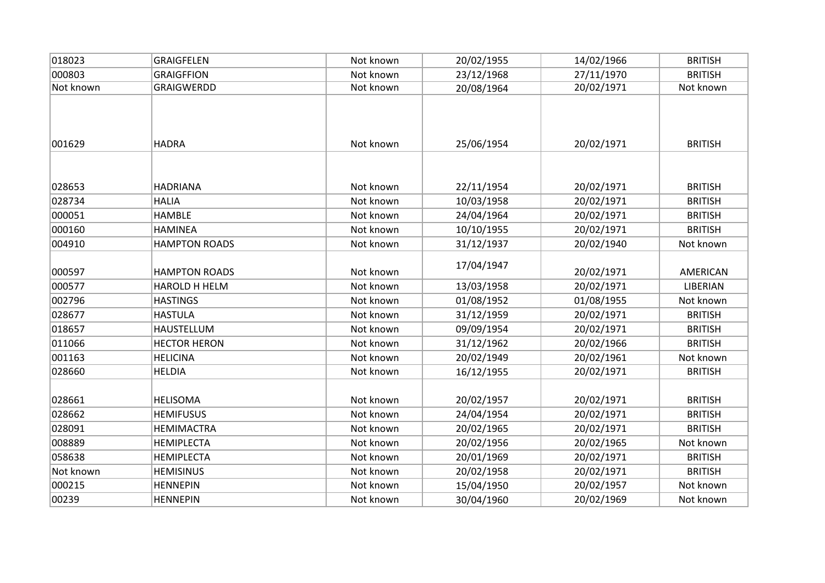| 018023    | GRAIGFELEN           | Not known | 20/02/1955 | 14/02/1966 | <b>BRITISH</b>  |
|-----------|----------------------|-----------|------------|------------|-----------------|
| 000803    | <b>GRAIGFFION</b>    | Not known | 23/12/1968 | 27/11/1970 | <b>BRITISH</b>  |
| Not known | <b>GRAIGWERDD</b>    | Not known | 20/08/1964 | 20/02/1971 | Not known       |
| 001629    | <b>HADRA</b>         | Not known | 25/06/1954 | 20/02/1971 | <b>BRITISH</b>  |
| 028653    | <b>HADRIANA</b>      | Not known | 22/11/1954 | 20/02/1971 | <b>BRITISH</b>  |
| 028734    | <b>HALIA</b>         | Not known | 10/03/1958 | 20/02/1971 | <b>BRITISH</b>  |
| 000051    | <b>HAMBLE</b>        | Not known | 24/04/1964 | 20/02/1971 | <b>BRITISH</b>  |
| 000160    | <b>HAMINEA</b>       | Not known | 10/10/1955 | 20/02/1971 | <b>BRITISH</b>  |
| 004910    | <b>HAMPTON ROADS</b> | Not known | 31/12/1937 | 20/02/1940 | Not known       |
| 000597    | <b>HAMPTON ROADS</b> | Not known | 17/04/1947 | 20/02/1971 | AMERICAN        |
| 000577    | HAROLD H HELM        | Not known | 13/03/1958 | 20/02/1971 | <b>LIBERIAN</b> |
| 002796    | <b>HASTINGS</b>      | Not known | 01/08/1952 | 01/08/1955 | Not known       |
| 028677    | <b>HASTULA</b>       | Not known | 31/12/1959 | 20/02/1971 | <b>BRITISH</b>  |
| 018657    | <b>HAUSTELLUM</b>    | Not known | 09/09/1954 | 20/02/1971 | <b>BRITISH</b>  |
| 011066    | <b>HECTOR HERON</b>  | Not known | 31/12/1962 | 20/02/1966 | <b>BRITISH</b>  |
| 001163    | <b>HELICINA</b>      | Not known | 20/02/1949 | 20/02/1961 | Not known       |
| 028660    | <b>HELDIA</b>        | Not known | 16/12/1955 | 20/02/1971 | <b>BRITISH</b>  |
| 028661    | <b>HELISOMA</b>      | Not known | 20/02/1957 | 20/02/1971 | <b>BRITISH</b>  |
| 028662    | <b>HEMIFUSUS</b>     | Not known | 24/04/1954 | 20/02/1971 | <b>BRITISH</b>  |
| 028091    | <b>HEMIMACTRA</b>    | Not known | 20/02/1965 | 20/02/1971 | <b>BRITISH</b>  |
| 008889    | <b>HEMIPLECTA</b>    | Not known | 20/02/1956 | 20/02/1965 | Not known       |
| 058638    | <b>HEMIPLECTA</b>    | Not known | 20/01/1969 | 20/02/1971 | <b>BRITISH</b>  |
| Not known | <b>HEMISINUS</b>     | Not known | 20/02/1958 | 20/02/1971 | <b>BRITISH</b>  |
| 000215    | <b>HENNEPIN</b>      | Not known | 15/04/1950 | 20/02/1957 | Not known       |
| 00239     | <b>HENNEPIN</b>      | Not known | 30/04/1960 | 20/02/1969 | Not known       |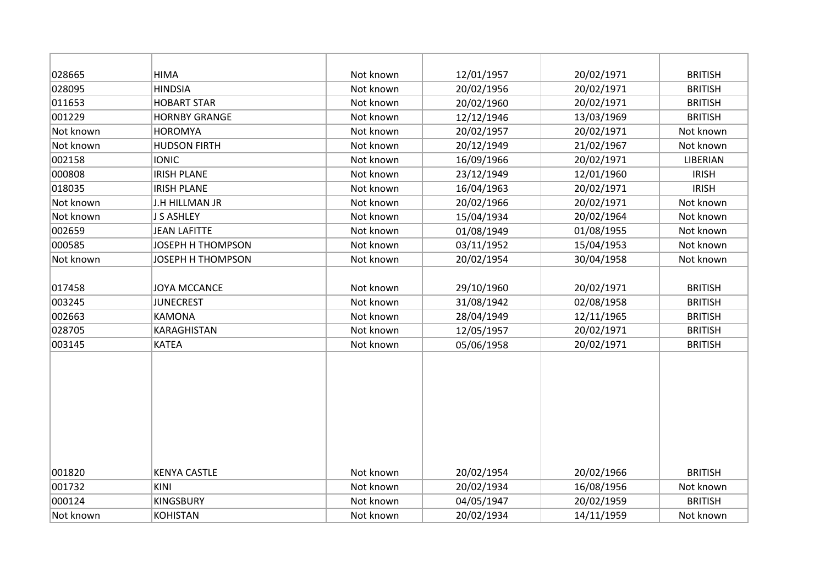| 028665         | <b>HIMA</b>              | Not known | 12/01/1957 | 20/02/1971 | <b>BRITISH</b> |
|----------------|--------------------------|-----------|------------|------------|----------------|
| 028095         | <b>HINDSIA</b>           | Not known | 20/02/1956 | 20/02/1971 | <b>BRITISH</b> |
| 011653         | <b>HOBART STAR</b>       | Not known | 20/02/1960 | 20/02/1971 | <b>BRITISH</b> |
| 001229         | <b>HORNBY GRANGE</b>     | Not known | 12/12/1946 | 13/03/1969 | <b>BRITISH</b> |
| Not known      | <b>HOROMYA</b>           | Not known | 20/02/1957 | 20/02/1971 | Not known      |
| Not known      | <b>HUDSON FIRTH</b>      | Not known | 20/12/1949 | 21/02/1967 | Not known      |
| 002158         | <b>IONIC</b>             | Not known | 16/09/1966 | 20/02/1971 | LIBERIAN       |
| 000808         | <b>IRISH PLANE</b>       | Not known | 23/12/1949 | 12/01/1960 | <b>IRISH</b>   |
| 018035         | <b>IRISH PLANE</b>       | Not known | 16/04/1963 | 20/02/1971 | <b>IRISH</b>   |
| Not known      | J.H HILLMAN JR           | Not known | 20/02/1966 | 20/02/1971 | Not known      |
| Not known      | <b>J S ASHLEY</b>        | Not known | 15/04/1934 | 20/02/1964 | Not known      |
| 002659         | <b>JEAN LAFITTE</b>      | Not known | 01/08/1949 | 01/08/1955 | Not known      |
| 000585         | <b>JOSEPH H THOMPSON</b> | Not known | 03/11/1952 | 15/04/1953 | Not known      |
| Not known      | JOSEPH H THOMPSON        | Not known | 20/02/1954 | 30/04/1958 | Not known      |
|                |                          |           |            |            |                |
| 017458         | <b>JOYA MCCANCE</b>      | Not known | 29/10/1960 | 20/02/1971 | <b>BRITISH</b> |
| 003245         | <b>JUNECREST</b>         | Not known | 31/08/1942 | 02/08/1958 | <b>BRITISH</b> |
| 002663         | <b>KAMONA</b>            | Not known | 28/04/1949 | 12/11/1965 | <b>BRITISH</b> |
| 028705         | KARAGHISTAN              | Not known | 12/05/1957 | 20/02/1971 | <b>BRITISH</b> |
| 003145         | <b>KATEA</b>             | Not known | 05/06/1958 | 20/02/1971 | <b>BRITISH</b> |
|                |                          |           |            |            |                |
|                |                          |           |            |            |                |
|                |                          |           |            |            |                |
|                |                          |           |            |            |                |
|                |                          |           |            |            |                |
|                |                          |           |            |            |                |
|                |                          |           |            |            |                |
| 001820         | <b>KENYA CASTLE</b>      | Not known | 20/02/1954 | 20/02/1966 | <b>BRITISH</b> |
| 001732<br>KINI |                          | Not known | 20/02/1934 | 16/08/1956 | Not known      |
| 000124         | <b>KINGSBURY</b>         | Not known | 04/05/1947 | 20/02/1959 | <b>BRITISH</b> |
| Not known      | <b>KOHISTAN</b>          | Not known |            |            |                |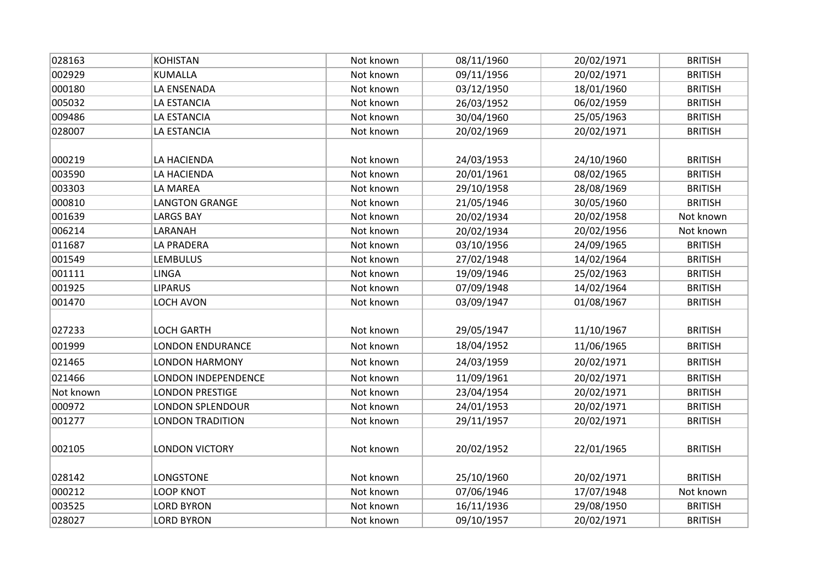| 028163    | <b>KOHISTAN</b>         | Not known | 08/11/1960 | 20/02/1971 | <b>BRITISH</b> |
|-----------|-------------------------|-----------|------------|------------|----------------|
| 002929    | <b>KUMALLA</b>          | Not known | 09/11/1956 | 20/02/1971 | <b>BRITISH</b> |
| 000180    | LA ENSENADA             | Not known | 03/12/1950 | 18/01/1960 | <b>BRITISH</b> |
| 005032    | LA ESTANCIA             | Not known | 26/03/1952 | 06/02/1959 | <b>BRITISH</b> |
| 009486    | LA ESTANCIA             | Not known | 30/04/1960 | 25/05/1963 | <b>BRITISH</b> |
| 028007    | LA ESTANCIA             | Not known | 20/02/1969 | 20/02/1971 | <b>BRITISH</b> |
|           |                         |           |            |            |                |
| 000219    | LA HACIENDA             | Not known | 24/03/1953 | 24/10/1960 | <b>BRITISH</b> |
| 003590    | LA HACIENDA             | Not known | 20/01/1961 | 08/02/1965 | <b>BRITISH</b> |
| 003303    | LA MAREA                | Not known | 29/10/1958 | 28/08/1969 | <b>BRITISH</b> |
| 000810    | <b>LANGTON GRANGE</b>   | Not known | 21/05/1946 | 30/05/1960 | <b>BRITISH</b> |
| 001639    | <b>LARGS BAY</b>        | Not known | 20/02/1934 | 20/02/1958 | Not known      |
| 006214    | LARANAH                 | Not known | 20/02/1934 | 20/02/1956 | Not known      |
| 011687    | LA PRADERA              | Not known | 03/10/1956 | 24/09/1965 | <b>BRITISH</b> |
| 001549    | <b>LEMBULUS</b>         | Not known | 27/02/1948 | 14/02/1964 | <b>BRITISH</b> |
| 001111    | <b>LINGA</b>            | Not known | 19/09/1946 | 25/02/1963 | <b>BRITISH</b> |
| 001925    | <b>LIPARUS</b>          | Not known | 07/09/1948 | 14/02/1964 | <b>BRITISH</b> |
| 001470    | <b>LOCH AVON</b>        | Not known | 03/09/1947 | 01/08/1967 | <b>BRITISH</b> |
|           |                         |           |            |            |                |
| 027233    | <b>LOCH GARTH</b>       | Not known | 29/05/1947 | 11/10/1967 | <b>BRITISH</b> |
| 001999    | <b>LONDON ENDURANCE</b> | Not known | 18/04/1952 | 11/06/1965 | <b>BRITISH</b> |
| 021465    | <b>LONDON HARMONY</b>   | Not known | 24/03/1959 | 20/02/1971 | <b>BRITISH</b> |
| 021466    | LONDON INDEPENDENCE     | Not known | 11/09/1961 | 20/02/1971 | <b>BRITISH</b> |
| Not known | <b>LONDON PRESTIGE</b>  | Not known | 23/04/1954 | 20/02/1971 | <b>BRITISH</b> |
| 000972    | <b>LONDON SPLENDOUR</b> | Not known | 24/01/1953 | 20/02/1971 | <b>BRITISH</b> |
| 001277    | <b>LONDON TRADITION</b> | Not known | 29/11/1957 | 20/02/1971 | <b>BRITISH</b> |
|           |                         |           |            |            |                |
| 002105    | <b>LONDON VICTORY</b>   | Not known | 20/02/1952 | 22/01/1965 | <b>BRITISH</b> |
|           |                         |           |            |            |                |
| 028142    | LONGSTONE               | Not known | 25/10/1960 | 20/02/1971 | <b>BRITISH</b> |
| 000212    | <b>LOOP KNOT</b>        | Not known | 07/06/1946 | 17/07/1948 | Not known      |
| 003525    | <b>LORD BYRON</b>       | Not known | 16/11/1936 | 29/08/1950 | <b>BRITISH</b> |
| 028027    | <b>LORD BYRON</b>       | Not known | 09/10/1957 | 20/02/1971 | <b>BRITISH</b> |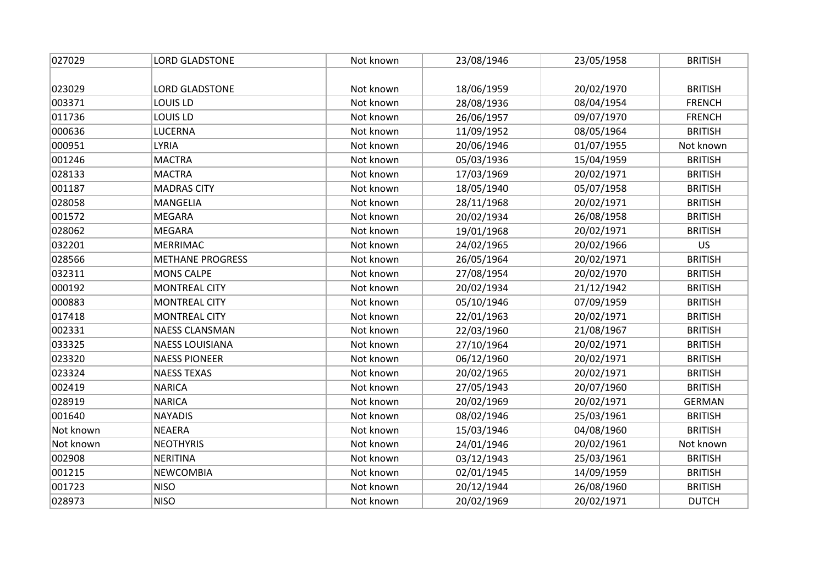| 027029    | <b>LORD GLADSTONE</b>   | Not known | 23/08/1946 | 23/05/1958 | <b>BRITISH</b> |
|-----------|-------------------------|-----------|------------|------------|----------------|
|           |                         |           |            |            |                |
| 023029    | <b>LORD GLADSTONE</b>   | Not known | 18/06/1959 | 20/02/1970 | <b>BRITISH</b> |
| 003371    | LOUIS LD                | Not known | 28/08/1936 | 08/04/1954 | <b>FRENCH</b>  |
| 011736    | <b>LOUIS LD</b>         | Not known | 26/06/1957 | 09/07/1970 | <b>FRENCH</b>  |
| 000636    | <b>LUCERNA</b>          | Not known | 11/09/1952 | 08/05/1964 | <b>BRITISH</b> |
| 000951    | <b>LYRIA</b>            | Not known | 20/06/1946 | 01/07/1955 | Not known      |
| 001246    | <b>MACTRA</b>           | Not known | 05/03/1936 | 15/04/1959 | <b>BRITISH</b> |
| 028133    | <b>MACTRA</b>           | Not known | 17/03/1969 | 20/02/1971 | <b>BRITISH</b> |
| 001187    | <b>MADRAS CITY</b>      | Not known | 18/05/1940 | 05/07/1958 | <b>BRITISH</b> |
| 028058    | MANGELIA                | Not known | 28/11/1968 | 20/02/1971 | <b>BRITISH</b> |
| 001572    | <b>MEGARA</b>           | Not known | 20/02/1934 | 26/08/1958 | <b>BRITISH</b> |
| 028062    | <b>MEGARA</b>           | Not known | 19/01/1968 | 20/02/1971 | <b>BRITISH</b> |
| 032201    | <b>MERRIMAC</b>         | Not known | 24/02/1965 | 20/02/1966 | <b>US</b>      |
| 028566    | <b>METHANE PROGRESS</b> | Not known | 26/05/1964 | 20/02/1971 | <b>BRITISH</b> |
| 032311    | <b>MONS CALPE</b>       | Not known | 27/08/1954 | 20/02/1970 | <b>BRITISH</b> |
| 000192    | <b>MONTREAL CITY</b>    | Not known | 20/02/1934 | 21/12/1942 | <b>BRITISH</b> |
| 000883    | <b>MONTREAL CITY</b>    | Not known | 05/10/1946 | 07/09/1959 | <b>BRITISH</b> |
| 017418    | <b>MONTREAL CITY</b>    | Not known | 22/01/1963 | 20/02/1971 | <b>BRITISH</b> |
| 002331    | <b>NAESS CLANSMAN</b>   | Not known | 22/03/1960 | 21/08/1967 | <b>BRITISH</b> |
| 033325    | <b>NAESS LOUISIANA</b>  | Not known | 27/10/1964 | 20/02/1971 | <b>BRITISH</b> |
| 023320    | <b>NAESS PIONEER</b>    | Not known | 06/12/1960 | 20/02/1971 | <b>BRITISH</b> |
| 023324    | <b>NAESS TEXAS</b>      | Not known | 20/02/1965 | 20/02/1971 | <b>BRITISH</b> |
| 002419    | <b>NARICA</b>           | Not known | 27/05/1943 | 20/07/1960 | <b>BRITISH</b> |
| 028919    | <b>NARICA</b>           | Not known | 20/02/1969 | 20/02/1971 | <b>GERMAN</b>  |
| 001640    | <b>NAYADIS</b>          | Not known | 08/02/1946 | 25/03/1961 | <b>BRITISH</b> |
| Not known | <b>NEAERA</b>           | Not known | 15/03/1946 | 04/08/1960 | <b>BRITISH</b> |
| Not known | <b>NEOTHYRIS</b>        | Not known | 24/01/1946 | 20/02/1961 | Not known      |
| 002908    | <b>NERITINA</b>         | Not known | 03/12/1943 | 25/03/1961 | <b>BRITISH</b> |
| 001215    | <b>NEWCOMBIA</b>        | Not known | 02/01/1945 | 14/09/1959 | <b>BRITISH</b> |
| 001723    | <b>NISO</b>             | Not known | 20/12/1944 | 26/08/1960 | <b>BRITISH</b> |
| 028973    | <b>NISO</b>             | Not known | 20/02/1969 | 20/02/1971 | <b>DUTCH</b>   |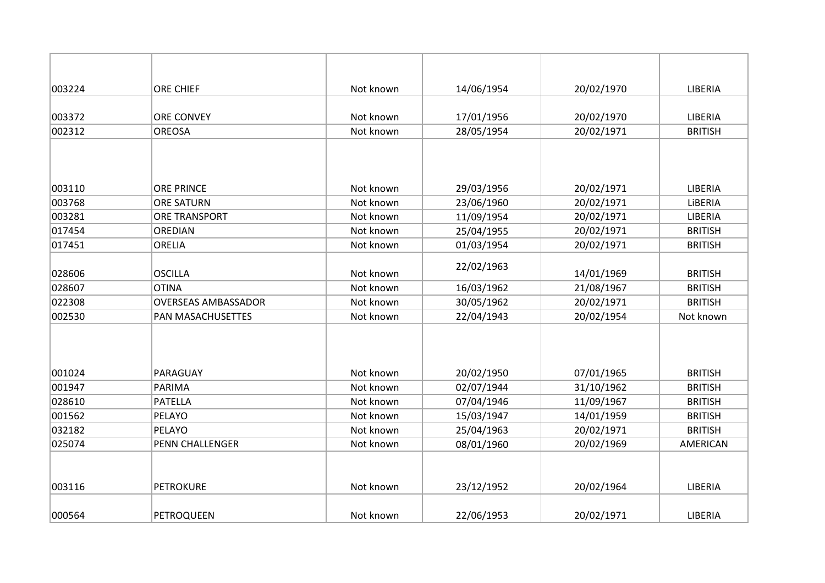| 003224 | ORE CHIEF                  | Not known | 14/06/1954 | 20/02/1970 | LIBERIA        |
|--------|----------------------------|-----------|------------|------------|----------------|
|        |                            |           |            |            |                |
| 003372 | <b>ORE CONVEY</b>          | Not known | 17/01/1956 | 20/02/1970 | LIBERIA        |
| 002312 | <b>OREOSA</b>              | Not known | 28/05/1954 | 20/02/1971 | <b>BRITISH</b> |
|        |                            |           |            |            |                |
| 003110 | <b>ORE PRINCE</b>          | Not known | 29/03/1956 | 20/02/1971 | LIBERIA        |
| 003768 | <b>ORE SATURN</b>          | Not known | 23/06/1960 | 20/02/1971 | LIBERIA        |
| 003281 | <b>ORE TRANSPORT</b>       | Not known | 11/09/1954 | 20/02/1971 | LIBERIA        |
| 017454 | OREDIAN                    | Not known | 25/04/1955 | 20/02/1971 | <b>BRITISH</b> |
| 017451 | <b>ORELIA</b>              | Not known | 01/03/1954 | 20/02/1971 | <b>BRITISH</b> |
| 028606 | <b>OSCILLA</b>             | Not known | 22/02/1963 | 14/01/1969 | <b>BRITISH</b> |
| 028607 | <b>OTINA</b>               | Not known | 16/03/1962 | 21/08/1967 | <b>BRITISH</b> |
| 022308 | <b>OVERSEAS AMBASSADOR</b> | Not known | 30/05/1962 | 20/02/1971 | <b>BRITISH</b> |
| 002530 | <b>PAN MASACHUSETTES</b>   | Not known | 22/04/1943 | 20/02/1954 | Not known      |
|        |                            |           |            |            |                |
| 001024 | PARAGUAY                   | Not known | 20/02/1950 | 07/01/1965 | <b>BRITISH</b> |
| 001947 | <b>PARIMA</b>              | Not known | 02/07/1944 | 31/10/1962 | <b>BRITISH</b> |
| 028610 | <b>PATELLA</b>             | Not known | 07/04/1946 | 11/09/1967 | <b>BRITISH</b> |
| 001562 | PELAYO                     | Not known | 15/03/1947 | 14/01/1959 | <b>BRITISH</b> |
| 032182 | PELAYO                     | Not known | 25/04/1963 | 20/02/1971 | <b>BRITISH</b> |
| 025074 | <b>PENN CHALLENGER</b>     | Not known | 08/01/1960 | 20/02/1969 | AMERICAN       |
|        |                            |           |            |            |                |
| 003116 | <b>PETROKURE</b>           | Not known | 23/12/1952 | 20/02/1964 | LIBERIA        |
| 000564 | PETROQUEEN                 | Not known | 22/06/1953 | 20/02/1971 | LIBERIA        |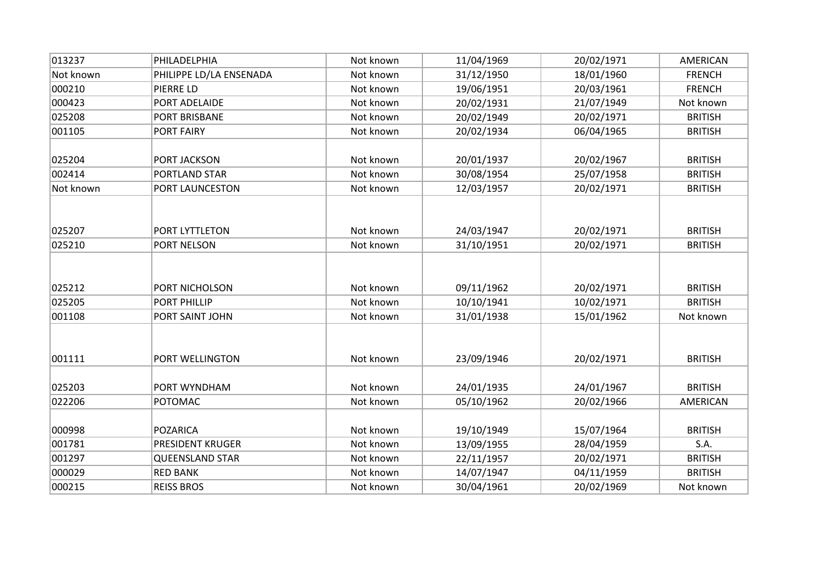| 013237    | PHILADELPHIA            | Not known | 11/04/1969 | 20/02/1971 | AMERICAN        |
|-----------|-------------------------|-----------|------------|------------|-----------------|
| Not known | PHILIPPE LD/LA ENSENADA | Not known | 31/12/1950 | 18/01/1960 | <b>FRENCH</b>   |
| 000210    | PIERRE LD               | Not known | 19/06/1951 | 20/03/1961 | <b>FRENCH</b>   |
| 000423    | PORT ADELAIDE           | Not known | 20/02/1931 | 21/07/1949 | Not known       |
| 025208    | PORT BRISBANE           | Not known | 20/02/1949 | 20/02/1971 | <b>BRITISH</b>  |
| 001105    | PORT FAIRY              | Not known | 20/02/1934 | 06/04/1965 | <b>BRITISH</b>  |
| 025204    | PORT JACKSON            | Not known | 20/01/1937 | 20/02/1967 | <b>BRITISH</b>  |
| 002414    | PORTLAND STAR           | Not known | 30/08/1954 | 25/07/1958 | <b>BRITISH</b>  |
| Not known | PORT LAUNCESTON         | Not known | 12/03/1957 | 20/02/1971 | <b>BRITISH</b>  |
| 025207    | PORT LYTTLETON          | Not known | 24/03/1947 | 20/02/1971 | <b>BRITISH</b>  |
| 025210    | PORT NELSON             | Not known | 31/10/1951 | 20/02/1971 | <b>BRITISH</b>  |
| 025212    | PORT NICHOLSON          | Not known | 09/11/1962 | 20/02/1971 | <b>BRITISH</b>  |
| 025205    | PORT PHILLIP            | Not known | 10/10/1941 | 10/02/1971 | <b>BRITISH</b>  |
| 001108    | PORT SAINT JOHN         | Not known | 31/01/1938 | 15/01/1962 | Not known       |
| 001111    | PORT WELLINGTON         | Not known | 23/09/1946 | 20/02/1971 | <b>BRITISH</b>  |
| 025203    | PORT WYNDHAM            | Not known | 24/01/1935 | 24/01/1967 | <b>BRITISH</b>  |
| 022206    | <b>POTOMAC</b>          | Not known | 05/10/1962 | 20/02/1966 | <b>AMERICAN</b> |
| 000998    | POZARICA                | Not known | 19/10/1949 | 15/07/1964 | <b>BRITISH</b>  |
| 001781    | PRESIDENT KRUGER        | Not known | 13/09/1955 | 28/04/1959 | S.A.            |
| 001297    | <b>QUEENSLAND STAR</b>  | Not known | 22/11/1957 | 20/02/1971 | <b>BRITISH</b>  |
| 000029    | <b>RED BANK</b>         | Not known | 14/07/1947 | 04/11/1959 | <b>BRITISH</b>  |
| 000215    | <b>REISS BROS</b>       | Not known | 30/04/1961 | 20/02/1969 | Not known       |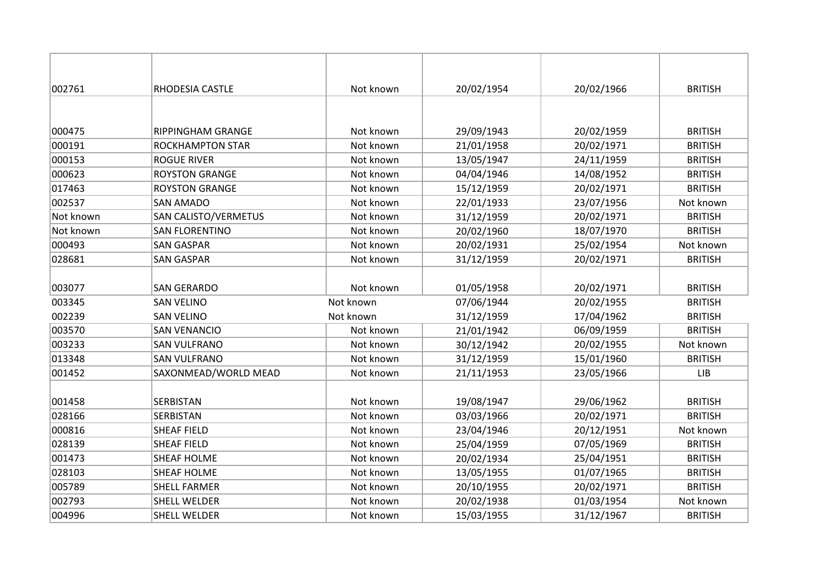| 002761    | RHODESIA CASTLE         | Not known | 20/02/1954 | 20/02/1966 | <b>BRITISH</b> |
|-----------|-------------------------|-----------|------------|------------|----------------|
|           |                         |           |            |            |                |
| 000475    | RIPPINGHAM GRANGE       | Not known | 29/09/1943 | 20/02/1959 | <b>BRITISH</b> |
| 000191    | <b>ROCKHAMPTON STAR</b> | Not known | 21/01/1958 | 20/02/1971 | <b>BRITISH</b> |
| 000153    | <b>ROGUE RIVER</b>      | Not known | 13/05/1947 | 24/11/1959 | <b>BRITISH</b> |
| 000623    | <b>ROYSTON GRANGE</b>   | Not known | 04/04/1946 | 14/08/1952 | <b>BRITISH</b> |
| 017463    | <b>ROYSTON GRANGE</b>   | Not known | 15/12/1959 | 20/02/1971 | <b>BRITISH</b> |
| 002537    | <b>SAN AMADO</b>        | Not known | 22/01/1933 | 23/07/1956 | Not known      |
| Not known | SAN CALISTO/VERMETUS    | Not known | 31/12/1959 | 20/02/1971 | <b>BRITISH</b> |
| Not known | <b>SAN FLORENTINO</b>   | Not known | 20/02/1960 | 18/07/1970 | <b>BRITISH</b> |
| 000493    | <b>SAN GASPAR</b>       | Not known | 20/02/1931 | 25/02/1954 | Not known      |
| 028681    | <b>SAN GASPAR</b>       | Not known | 31/12/1959 | 20/02/1971 | <b>BRITISH</b> |
|           |                         |           |            |            |                |
| 003077    | <b>SAN GERARDO</b>      | Not known | 01/05/1958 | 20/02/1971 | <b>BRITISH</b> |
| 003345    | <b>SAN VELINO</b>       | Not known | 07/06/1944 | 20/02/1955 | <b>BRITISH</b> |
| 002239    | <b>SAN VELINO</b>       | Not known | 31/12/1959 | 17/04/1962 | <b>BRITISH</b> |
| 003570    | <b>SAN VENANCIO</b>     | Not known | 21/01/1942 | 06/09/1959 | <b>BRITISH</b> |
| 003233    | <b>SAN VULFRANO</b>     | Not known | 30/12/1942 | 20/02/1955 | Not known      |
| 013348    | <b>SAN VULFRANO</b>     | Not known | 31/12/1959 | 15/01/1960 | <b>BRITISH</b> |
| 001452    | SAXONMEAD/WORLD MEAD    | Not known | 21/11/1953 | 23/05/1966 | LIB            |
|           |                         |           |            |            |                |
| 001458    | SERBISTAN               | Not known | 19/08/1947 | 29/06/1962 | <b>BRITISH</b> |
| 028166    | SERBISTAN               | Not known | 03/03/1966 | 20/02/1971 | <b>BRITISH</b> |
| 000816    | <b>SHEAF FIELD</b>      | Not known | 23/04/1946 | 20/12/1951 | Not known      |
| 028139    | <b>SHEAF FIELD</b>      | Not known | 25/04/1959 | 07/05/1969 | <b>BRITISH</b> |
| 001473    | <b>SHEAF HOLME</b>      | Not known | 20/02/1934 | 25/04/1951 | <b>BRITISH</b> |
| 028103    | <b>SHEAF HOLME</b>      | Not known | 13/05/1955 | 01/07/1965 | <b>BRITISH</b> |
| 005789    | <b>SHELL FARMER</b>     | Not known | 20/10/1955 | 20/02/1971 | <b>BRITISH</b> |
| 002793    | <b>SHELL WELDER</b>     | Not known | 20/02/1938 | 01/03/1954 | Not known      |
| 004996    | <b>SHELL WELDER</b>     | Not known | 15/03/1955 | 31/12/1967 | <b>BRITISH</b> |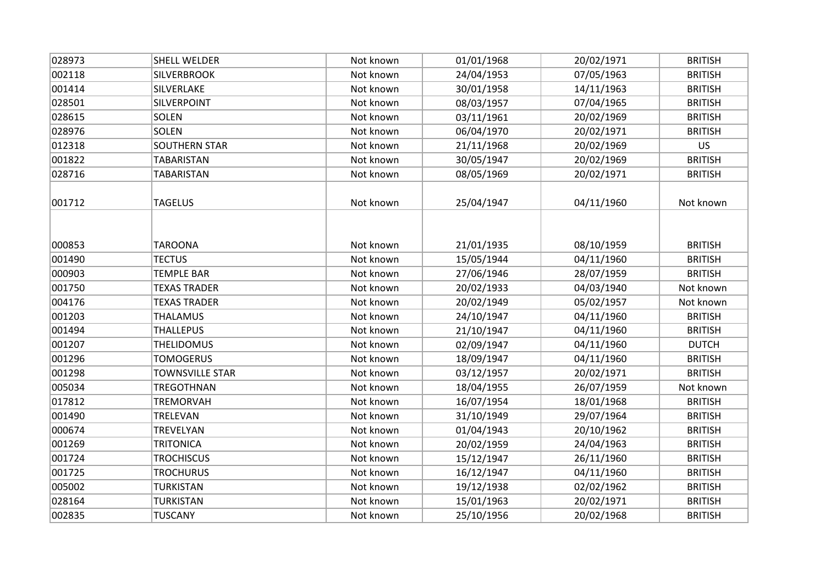| 028973 | SHELL WELDER           | Not known | 01/01/1968 | 20/02/1971 | <b>BRITISH</b> |
|--------|------------------------|-----------|------------|------------|----------------|
| 002118 | <b>SILVERBROOK</b>     | Not known | 24/04/1953 | 07/05/1963 | <b>BRITISH</b> |
| 001414 | SILVERLAKE             | Not known | 30/01/1958 | 14/11/1963 | <b>BRITISH</b> |
| 028501 | <b>SILVERPOINT</b>     | Not known | 08/03/1957 | 07/04/1965 | <b>BRITISH</b> |
| 028615 | <b>SOLEN</b>           | Not known | 03/11/1961 | 20/02/1969 | <b>BRITISH</b> |
| 028976 | <b>SOLEN</b>           | Not known | 06/04/1970 | 20/02/1971 | <b>BRITISH</b> |
| 012318 | <b>SOUTHERN STAR</b>   | Not known | 21/11/1968 | 20/02/1969 | <b>US</b>      |
| 001822 | <b>TABARISTAN</b>      | Not known | 30/05/1947 | 20/02/1969 | <b>BRITISH</b> |
| 028716 | TABARISTAN             | Not known | 08/05/1969 | 20/02/1971 | <b>BRITISH</b> |
|        |                        |           |            |            |                |
| 001712 | <b>TAGELUS</b>         | Not known | 25/04/1947 | 04/11/1960 | Not known      |
|        |                        |           |            |            |                |
| 000853 | <b>TAROONA</b>         | Not known | 21/01/1935 | 08/10/1959 | <b>BRITISH</b> |
| 001490 | <b>TECTUS</b>          | Not known | 15/05/1944 | 04/11/1960 | <b>BRITISH</b> |
| 000903 | <b>TEMPLE BAR</b>      | Not known | 27/06/1946 | 28/07/1959 | <b>BRITISH</b> |
| 001750 | <b>TEXAS TRADER</b>    | Not known | 20/02/1933 | 04/03/1940 | Not known      |
| 004176 | <b>TEXAS TRADER</b>    | Not known | 20/02/1949 | 05/02/1957 | Not known      |
| 001203 | <b>THALAMUS</b>        | Not known | 24/10/1947 | 04/11/1960 | <b>BRITISH</b> |
| 001494 | <b>THALLEPUS</b>       | Not known | 21/10/1947 | 04/11/1960 | <b>BRITISH</b> |
| 001207 | <b>THELIDOMUS</b>      | Not known | 02/09/1947 | 04/11/1960 | <b>DUTCH</b>   |
| 001296 | <b>TOMOGERUS</b>       | Not known | 18/09/1947 | 04/11/1960 | <b>BRITISH</b> |
| 001298 | <b>TOWNSVILLE STAR</b> | Not known | 03/12/1957 | 20/02/1971 | <b>BRITISH</b> |
| 005034 | TREGOTHNAN             | Not known | 18/04/1955 | 26/07/1959 | Not known      |
| 017812 | <b>TREMORVAH</b>       | Not known | 16/07/1954 | 18/01/1968 | <b>BRITISH</b> |
| 001490 | <b>TRELEVAN</b>        | Not known | 31/10/1949 | 29/07/1964 | <b>BRITISH</b> |
| 000674 | TREVELYAN              | Not known | 01/04/1943 | 20/10/1962 | <b>BRITISH</b> |
| 001269 | <b>TRITONICA</b>       | Not known | 20/02/1959 | 24/04/1963 | <b>BRITISH</b> |
| 001724 | <b>TROCHISCUS</b>      | Not known | 15/12/1947 | 26/11/1960 | <b>BRITISH</b> |
| 001725 | <b>TROCHURUS</b>       | Not known | 16/12/1947 | 04/11/1960 | <b>BRITISH</b> |
| 005002 | <b>TURKISTAN</b>       | Not known | 19/12/1938 | 02/02/1962 | <b>BRITISH</b> |
| 028164 | <b>TURKISTAN</b>       | Not known | 15/01/1963 | 20/02/1971 | <b>BRITISH</b> |
| 002835 | <b>TUSCANY</b>         | Not known | 25/10/1956 | 20/02/1968 | <b>BRITISH</b> |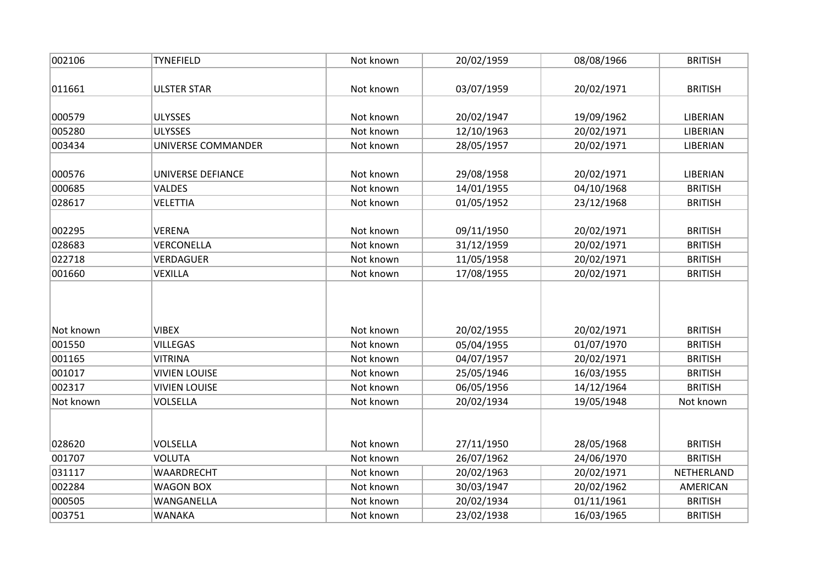| 002106           | <b>TYNEFIELD</b>                  | Not known              | 20/02/1959               | 08/08/1966               | <b>BRITISH</b>                   |
|------------------|-----------------------------------|------------------------|--------------------------|--------------------------|----------------------------------|
| 011661           | <b>ULSTER STAR</b>                | Not known              | 03/07/1959               | 20/02/1971               | <b>BRITISH</b>                   |
|                  |                                   |                        |                          |                          |                                  |
| 000579           | <b>ULYSSES</b>                    | Not known              | 20/02/1947               | 19/09/1962               | LIBERIAN                         |
| 005280           | <b>ULYSSES</b>                    | Not known              | 12/10/1963               | 20/02/1971               | LIBERIAN                         |
| 003434           | UNIVERSE COMMANDER                | Not known              | 28/05/1957               | 20/02/1971               | LIBERIAN                         |
|                  |                                   |                        |                          |                          |                                  |
| 000576           | UNIVERSE DEFIANCE                 | Not known              | 29/08/1958               | 20/02/1971               | LIBERIAN                         |
| 000685           | VALDES                            | Not known              | 14/01/1955               | 04/10/1968               | <b>BRITISH</b>                   |
| 028617           | <b>VELETTIA</b>                   | Not known              | 01/05/1952               | 23/12/1968               | <b>BRITISH</b>                   |
| 002295           | <b>VERENA</b>                     | Not known              | 09/11/1950               | 20/02/1971               | <b>BRITISH</b>                   |
| 028683           | VERCONELLA                        | Not known              | 31/12/1959               | 20/02/1971               | <b>BRITISH</b>                   |
| 022718           | <b>VERDAGUER</b>                  | Not known              | 11/05/1958               | 20/02/1971               | <b>BRITISH</b>                   |
| 001660           | VEXILLA                           | Not known              | 17/08/1955               | 20/02/1971               | <b>BRITISH</b>                   |
| Not known        | <b>VIBEX</b>                      | Not known              |                          | 20/02/1971               | <b>BRITISH</b>                   |
|                  |                                   |                        | 20/02/1955               |                          |                                  |
| 001550           | <b>VILLEGAS</b><br><b>VITRINA</b> | Not known<br>Not known | 05/04/1955               | 01/07/1970               | <b>BRITISH</b><br><b>BRITISH</b> |
| 001165<br>001017 | <b>VIVIEN LOUISE</b>              | Not known              | 04/07/1957               | 20/02/1971<br>16/03/1955 | <b>BRITISH</b>                   |
| 002317           | <b>VIVIEN LOUISE</b>              | Not known              | 25/05/1946<br>06/05/1956 | 14/12/1964               | <b>BRITISH</b>                   |
| Not known        | <b>VOLSELLA</b>                   | Not known              | 20/02/1934               | 19/05/1948               | Not known                        |
|                  |                                   |                        |                          |                          |                                  |
|                  |                                   |                        |                          |                          |                                  |
| 028620           | VOLSELLA                          | Not known              | 27/11/1950               | 28/05/1968               | <b>BRITISH</b>                   |
| 001707           | <b>VOLUTA</b>                     | Not known              | 26/07/1962               | 24/06/1970               | <b>BRITISH</b>                   |
| 031117           | WAARDRECHT                        | Not known              | 20/02/1963               | 20/02/1971               | NETHERLAND                       |
| 002284           | <b>WAGON BOX</b>                  | Not known              | 30/03/1947               | 20/02/1962               | AMERICAN                         |
| 000505           | WANGANELLA                        | Not known              | 20/02/1934               | 01/11/1961               | <b>BRITISH</b>                   |
| 003751           | <b>WANAKA</b>                     | Not known              | 23/02/1938               | 16/03/1965               | <b>BRITISH</b>                   |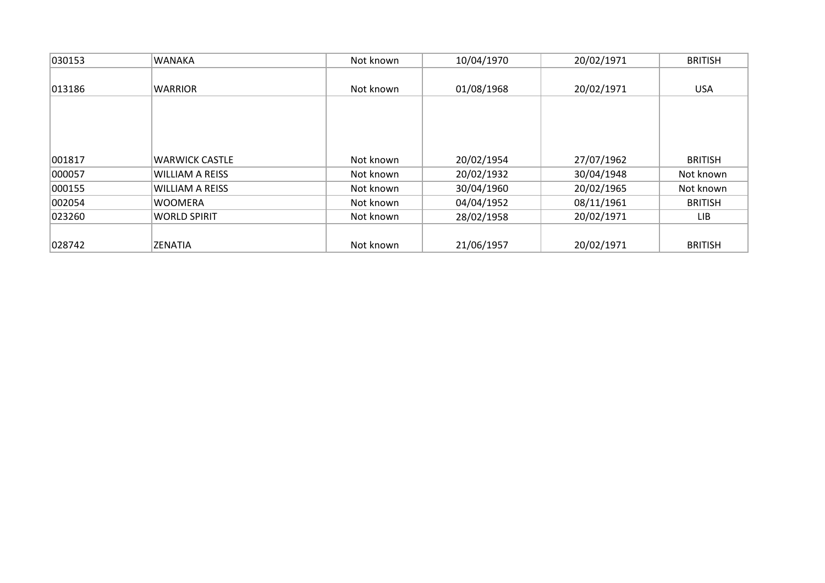| 030153 | <b>WANAKA</b>          | Not known | 10/04/1970 | 20/02/1971 | <b>BRITISH</b> |
|--------|------------------------|-----------|------------|------------|----------------|
|        |                        |           |            |            |                |
| 013186 | <b>WARRIOR</b>         | Not known | 01/08/1968 | 20/02/1971 | <b>USA</b>     |
|        |                        |           |            |            |                |
| 001817 | <b>WARWICK CASTLE</b>  | Not known | 20/02/1954 | 27/07/1962 | <b>BRITISH</b> |
| 000057 | <b>WILLIAM A REISS</b> | Not known | 20/02/1932 | 30/04/1948 | Not known      |
| 000155 | <b>WILLIAM A REISS</b> | Not known | 30/04/1960 | 20/02/1965 | Not known      |
| 002054 | <b>WOOMERA</b>         | Not known | 04/04/1952 | 08/11/1961 | <b>BRITISH</b> |
| 023260 | <b>WORLD SPIRIT</b>    | Not known | 28/02/1958 | 20/02/1971 | LIB            |
| 028742 | <b>ZENATIA</b>         | Not known | 21/06/1957 | 20/02/1971 | <b>BRITISH</b> |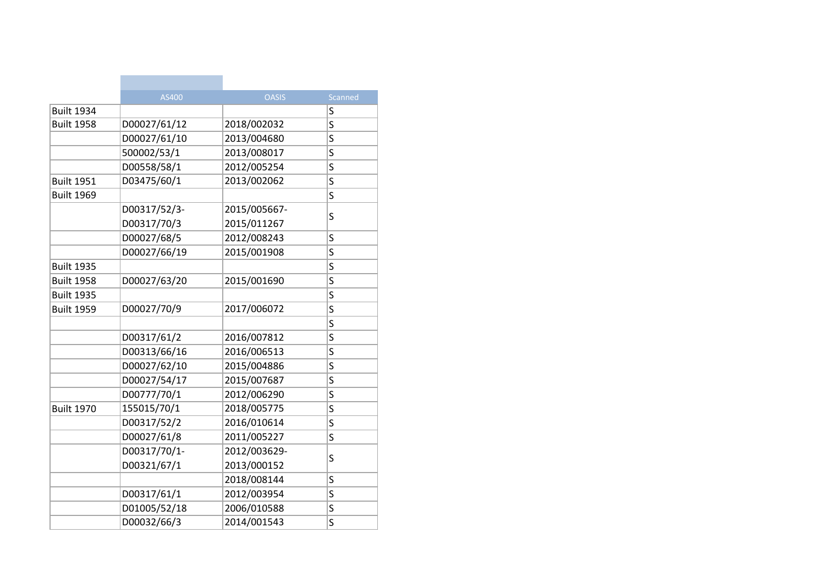|                   | AS400        | <b>OASIS</b> | Scanned |
|-------------------|--------------|--------------|---------|
| <b>Built 1934</b> |              |              | S       |
| <b>Built 1958</b> | D00027/61/12 | 2018/002032  | S       |
|                   | D00027/61/10 | 2013/004680  | S       |
|                   | 500002/53/1  | 2013/008017  | S       |
|                   | D00558/58/1  | 2012/005254  | S       |
| <b>Built 1951</b> | D03475/60/1  | 2013/002062  | S       |
| <b>Built 1969</b> |              |              | S       |
|                   | D00317/52/3- | 2015/005667- |         |
|                   | D00317/70/3  | 2015/011267  | S       |
|                   | D00027/68/5  | 2012/008243  | S       |
|                   | D00027/66/19 | 2015/001908  | S       |
| <b>Built 1935</b> |              |              | S       |
| <b>Built 1958</b> | D00027/63/20 | 2015/001690  | S       |
| <b>Built 1935</b> |              |              | S       |
| <b>Built 1959</b> | D00027/70/9  | 2017/006072  | S       |
|                   |              |              | Ś       |
|                   | D00317/61/2  | 2016/007812  | S       |
|                   | D00313/66/16 | 2016/006513  | S       |
|                   | D00027/62/10 | 2015/004886  | S       |
|                   | D00027/54/17 | 2015/007687  | S       |
|                   | D00777/70/1  | 2012/006290  | S       |
| <b>Built 1970</b> | 155015/70/1  | 2018/005775  | S       |
|                   | D00317/52/2  | 2016/010614  | S       |
|                   | D00027/61/8  | 2011/005227  | S       |
|                   | D00317/70/1- | 2012/003629- |         |
|                   | D00321/67/1  | 2013/000152  | S       |
|                   |              | 2018/008144  | S       |
|                   | D00317/61/1  | 2012/003954  | S       |
|                   | D01005/52/18 | 2006/010588  | S       |
|                   | D00032/66/3  | 2014/001543  | Ś       |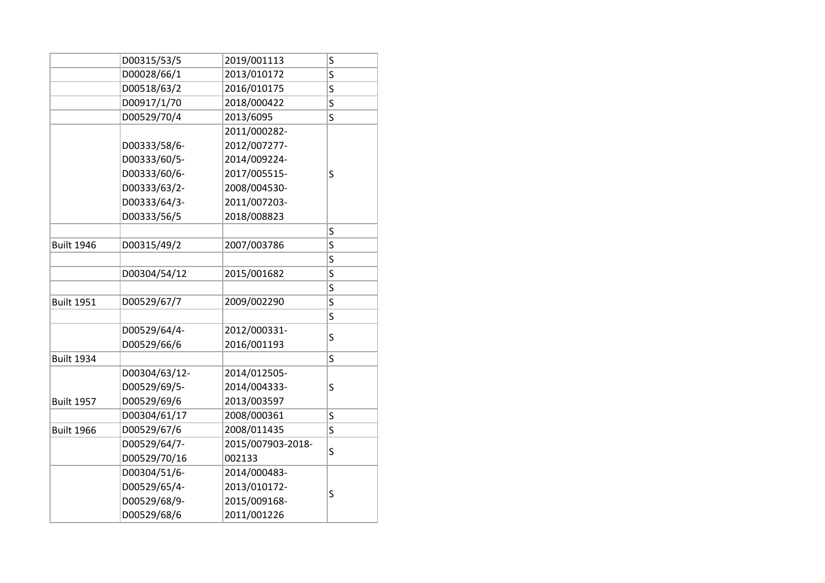|                   | D00315/53/5   | 2019/001113       | S |  |
|-------------------|---------------|-------------------|---|--|
|                   | D00028/66/1   | 2013/010172       | S |  |
|                   | D00518/63/2   | 2016/010175       | S |  |
|                   | D00917/1/70   | 2018/000422       | S |  |
|                   | D00529/70/4   | 2013/6095         | S |  |
|                   |               | 2011/000282-      |   |  |
|                   | D00333/58/6-  | 2012/007277-      |   |  |
|                   | D00333/60/5-  | 2014/009224-      |   |  |
|                   | D00333/60/6-  | 2017/005515-      | S |  |
|                   | D00333/63/2-  | 2008/004530-      |   |  |
|                   | D00333/64/3-  | 2011/007203-      |   |  |
|                   | D00333/56/5   | 2018/008823       |   |  |
|                   |               |                   | S |  |
| <b>Built 1946</b> | D00315/49/2   | 2007/003786       | S |  |
|                   |               |                   | S |  |
|                   | D00304/54/12  | 2015/001682       | S |  |
|                   |               |                   | S |  |
| <b>Built 1951</b> | D00529/67/7   | 2009/002290       | S |  |
|                   |               |                   | S |  |
|                   | D00529/64/4-  | 2012/000331-      | S |  |
|                   | D00529/66/6   | 2016/001193       |   |  |
| <b>Built 1934</b> |               |                   | S |  |
|                   | D00304/63/12- | 2014/012505-      |   |  |
|                   | D00529/69/5-  | 2014/004333-      | S |  |
| <b>Built 1957</b> | D00529/69/6   | 2013/003597       |   |  |
|                   | D00304/61/17  | 2008/000361       | S |  |
| <b>Built 1966</b> | D00529/67/6   | 2008/011435       | S |  |
|                   | D00529/64/7-  | 2015/007903-2018- | S |  |
|                   | D00529/70/16  | 002133            |   |  |
|                   | D00304/51/6-  | 2014/000483-      |   |  |
|                   | D00529/65/4-  | 2013/010172-      | S |  |
|                   | D00529/68/9-  | 2015/009168-      |   |  |
|                   | D00529/68/6   | 2011/001226       |   |  |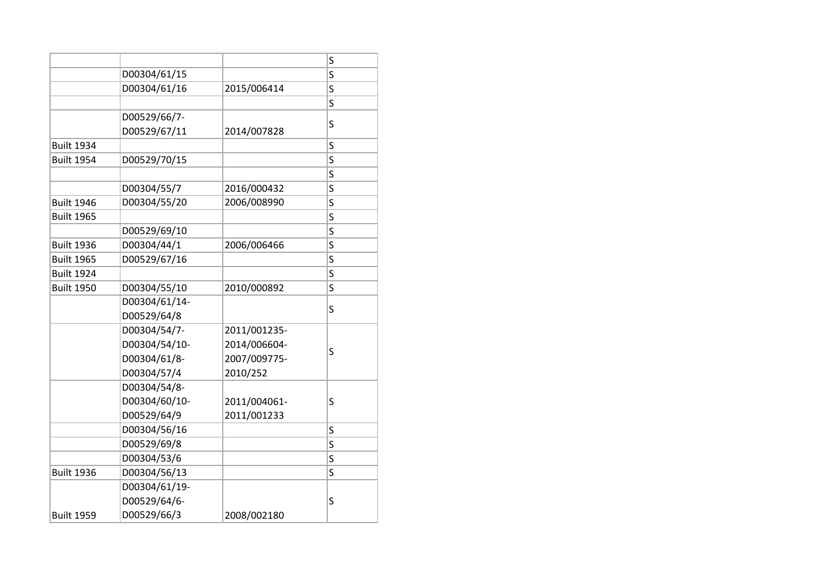|                   |               |              | S                       |
|-------------------|---------------|--------------|-------------------------|
|                   | D00304/61/15  |              | Ś                       |
|                   | D00304/61/16  | 2015/006414  | S                       |
|                   |               |              | S                       |
|                   | D00529/66/7-  |              | S                       |
|                   | D00529/67/11  | 2014/007828  |                         |
| <b>Built 1934</b> |               |              | S                       |
| <b>Built 1954</b> | D00529/70/15  |              | S                       |
|                   |               |              | S                       |
|                   | D00304/55/7   | 2016/000432  | S                       |
| <b>Built 1946</b> | D00304/55/20  | 2006/008990  | S                       |
| <b>Built 1965</b> |               |              | S                       |
|                   | D00529/69/10  |              | S                       |
| <b>Built 1936</b> | D00304/44/1   | 2006/006466  | $\overline{\mathsf{S}}$ |
| <b>Built 1965</b> | D00529/67/16  |              | S                       |
| <b>Built 1924</b> |               |              | S                       |
| <b>Built 1950</b> | D00304/55/10  | 2010/000892  | S                       |
|                   | D00304/61/14- |              |                         |
|                   | D00529/64/8   |              | S                       |
|                   | D00304/54/7-  | 2011/001235- |                         |
|                   | D00304/54/10- | 2014/006604- |                         |
|                   | D00304/61/8-  | 2007/009775- | S                       |
|                   | D00304/57/4   | 2010/252     |                         |
|                   | D00304/54/8-  |              |                         |
|                   | D00304/60/10- | 2011/004061- | S                       |
|                   | D00529/64/9   | 2011/001233  |                         |
|                   | D00304/56/16  |              | S                       |
|                   | D00529/69/8   |              | S                       |
|                   | D00304/53/6   |              | S                       |
| <b>Built 1936</b> | D00304/56/13  |              | S                       |
|                   | D00304/61/19- |              |                         |
|                   | D00529/64/6-  |              | S                       |
| <b>Built 1959</b> | D00529/66/3   | 2008/002180  |                         |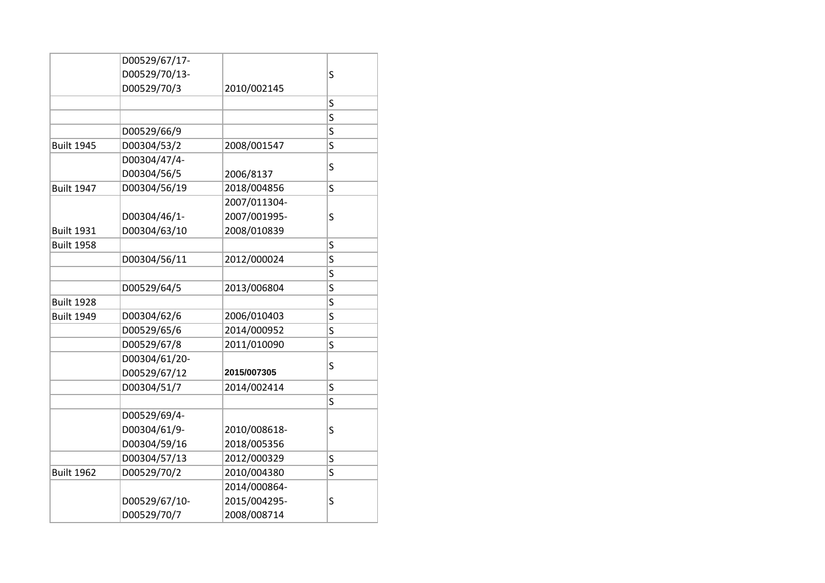|               |                                                                 | S                       |
|---------------|-----------------------------------------------------------------|-------------------------|
| D00529/70/3   | 2010/002145                                                     |                         |
|               |                                                                 | S                       |
|               |                                                                 | S                       |
| D00529/66/9   |                                                                 | S                       |
| D00304/53/2   | 2008/001547                                                     | S                       |
| D00304/47/4-  |                                                                 |                         |
| D00304/56/5   | 2006/8137                                                       | S                       |
| D00304/56/19  | 2018/004856                                                     | S                       |
|               | 2007/011304-                                                    |                         |
| D00304/46/1-  | 2007/001995-                                                    | S                       |
| D00304/63/10  | 2008/010839                                                     |                         |
|               |                                                                 | S                       |
| D00304/56/11  | 2012/000024                                                     | S                       |
|               |                                                                 | S                       |
| D00529/64/5   | 2013/006804                                                     | S                       |
|               |                                                                 | S                       |
| D00304/62/6   | 2006/010403                                                     | S                       |
| D00529/65/6   | 2014/000952                                                     | S                       |
| D00529/67/8   | 2011/010090                                                     | S                       |
| D00304/61/20- |                                                                 |                         |
| D00529/67/12  | 2015/007305                                                     | S                       |
| D00304/51/7   | 2014/002414                                                     | S                       |
|               |                                                                 | $\overline{\mathsf{S}}$ |
| D00529/69/4-  |                                                                 |                         |
| D00304/61/9-  | 2010/008618-                                                    | S                       |
| D00304/59/16  | 2018/005356                                                     |                         |
|               |                                                                 | S                       |
| D00529/70/2   | 2010/004380                                                     | S                       |
|               | 2014/000864-                                                    |                         |
|               | 2015/004295-                                                    | S                       |
| D00529/70/7   | 2008/008714                                                     |                         |
|               | D00529/67/17-<br>D00529/70/13-<br>D00304/57/13<br>D00529/67/10- | 2012/000329             |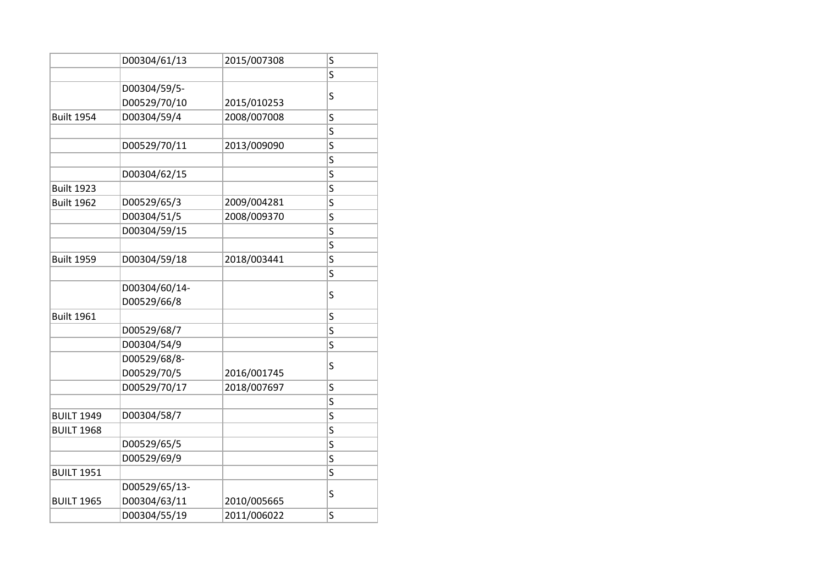|                   | D00304/61/13  | 2015/007308 | S |
|-------------------|---------------|-------------|---|
|                   |               |             | S |
|                   | D00304/59/5-  |             |   |
|                   | D00529/70/10  | 2015/010253 | S |
| <b>Built 1954</b> | D00304/59/4   | 2008/007008 | S |
|                   |               |             | S |
|                   | D00529/70/11  | 2013/009090 | S |
|                   |               |             | S |
|                   | D00304/62/15  |             | S |
| <b>Built 1923</b> |               |             | S |
| <b>Built 1962</b> | D00529/65/3   | 2009/004281 | S |
|                   | D00304/51/5   | 2008/009370 | S |
|                   | D00304/59/15  |             | S |
|                   |               |             | S |
| <b>Built 1959</b> | D00304/59/18  | 2018/003441 | S |
|                   |               |             | S |
|                   | D00304/60/14- |             | S |
|                   | D00529/66/8   |             |   |
| <b>Built 1961</b> |               |             | S |
|                   | D00529/68/7   |             | S |
|                   | D00304/54/9   |             | S |
|                   | D00529/68/8-  |             | S |
|                   | D00529/70/5   | 2016/001745 |   |
|                   | D00529/70/17  | 2018/007697 | S |
|                   |               |             | S |
| <b>BUILT 1949</b> | D00304/58/7   |             | S |
| <b>BUILT 1968</b> |               |             | S |
|                   | D00529/65/5   |             | S |
|                   | D00529/69/9   |             | S |
| <b>BUILT 1951</b> |               |             | S |
|                   | D00529/65/13- |             | S |
| <b>BUILT 1965</b> | D00304/63/11  | 2010/005665 |   |
|                   | D00304/55/19  | 2011/006022 | S |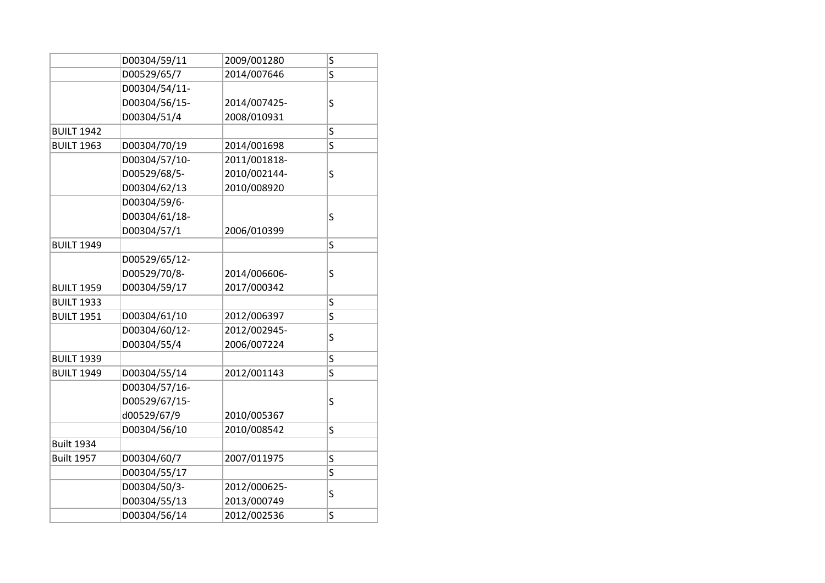|                   | D00304/59/11  | 2009/001280  | S |
|-------------------|---------------|--------------|---|
|                   | D00529/65/7   | 2014/007646  | S |
|                   | D00304/54/11- |              |   |
|                   | D00304/56/15- | 2014/007425- | S |
|                   | D00304/51/4   | 2008/010931  |   |
| <b>BUILT 1942</b> |               |              | S |
| <b>BUILT 1963</b> | D00304/70/19  | 2014/001698  | S |
|                   | D00304/57/10- | 2011/001818- |   |
|                   | D00529/68/5-  | 2010/002144- | S |
|                   | D00304/62/13  | 2010/008920  |   |
|                   | D00304/59/6-  |              |   |
|                   | D00304/61/18- |              | S |
|                   | D00304/57/1   | 2006/010399  |   |
| <b>BUILT 1949</b> |               |              | S |
|                   | D00529/65/12- |              |   |
|                   | D00529/70/8-  | 2014/006606- | S |
| <b>BUILT 1959</b> | D00304/59/17  | 2017/000342  |   |
| <b>BUILT 1933</b> |               |              | S |
| <b>BUILT 1951</b> | D00304/61/10  | 2012/006397  | S |
|                   | D00304/60/12- | 2012/002945- |   |
|                   | D00304/55/4   | 2006/007224  | S |
| <b>BUILT 1939</b> |               |              | S |
| <b>BUILT 1949</b> | D00304/55/14  | 2012/001143  | S |
|                   | D00304/57/16- |              |   |
|                   | D00529/67/15- |              | S |
|                   | d00529/67/9   | 2010/005367  |   |
|                   | D00304/56/10  | 2010/008542  | S |
| <b>Built 1934</b> |               |              |   |
| <b>Built 1957</b> | D00304/60/7   | 2007/011975  | S |
|                   | D00304/55/17  |              | S |
|                   | D00304/50/3-  | 2012/000625- |   |
|                   | D00304/55/13  | 2013/000749  | S |
|                   | D00304/56/14  | 2012/002536  | S |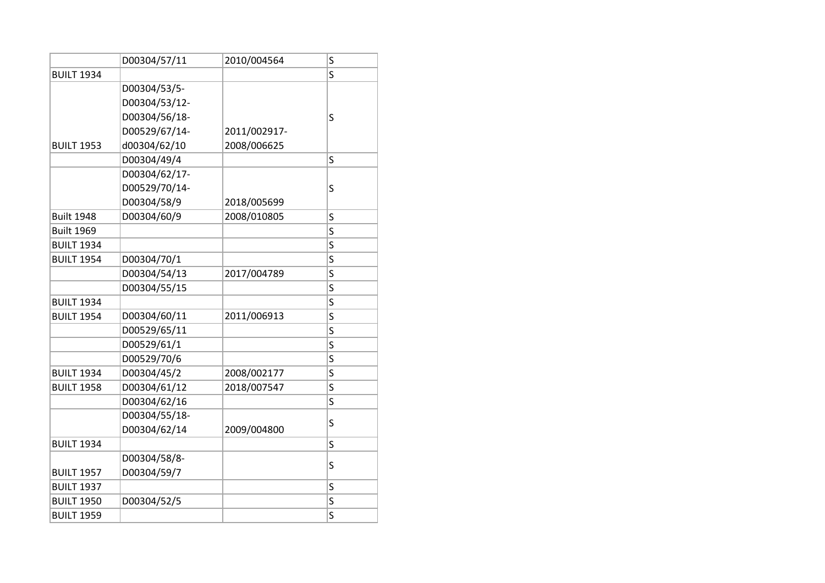|                   | D00304/57/11  | 2010/004564  | S |
|-------------------|---------------|--------------|---|
| <b>BUILT 1934</b> |               |              | S |
|                   | D00304/53/5-  |              |   |
|                   | D00304/53/12- |              |   |
|                   | D00304/56/18- |              | S |
|                   | D00529/67/14- | 2011/002917- |   |
| <b>BUILT 1953</b> | d00304/62/10  | 2008/006625  |   |
|                   | D00304/49/4   |              | Ś |
|                   | D00304/62/17- |              |   |
|                   | D00529/70/14- |              | S |
|                   | D00304/58/9   | 2018/005699  |   |
| <b>Built 1948</b> | D00304/60/9   | 2008/010805  | S |
| <b>Built 1969</b> |               |              | S |
| <b>BUILT 1934</b> |               |              | S |
| <b>BUILT 1954</b> | D00304/70/1   |              | S |
|                   | D00304/54/13  | 2017/004789  | S |
|                   | D00304/55/15  |              | S |
| <b>BUILT 1934</b> |               |              | S |
| <b>BUILT 1954</b> | D00304/60/11  | 2011/006913  | S |
|                   | D00529/65/11  |              | S |
|                   | D00529/61/1   |              | S |
|                   | D00529/70/6   |              | S |
| <b>BUILT 1934</b> | D00304/45/2   | 2008/002177  | S |
| <b>BUILT 1958</b> | D00304/61/12  | 2018/007547  | S |
|                   | D00304/62/16  |              | S |
|                   | D00304/55/18- |              | S |
|                   | D00304/62/14  | 2009/004800  |   |
| <b>BUILT 1934</b> |               |              | S |
|                   | D00304/58/8-  |              | S |
| <b>BUILT 1957</b> | D00304/59/7   |              |   |
| <b>BUILT 1937</b> |               |              | S |
| <b>BUILT 1950</b> | D00304/52/5   |              | S |
| <b>BUILT 1959</b> |               |              | S |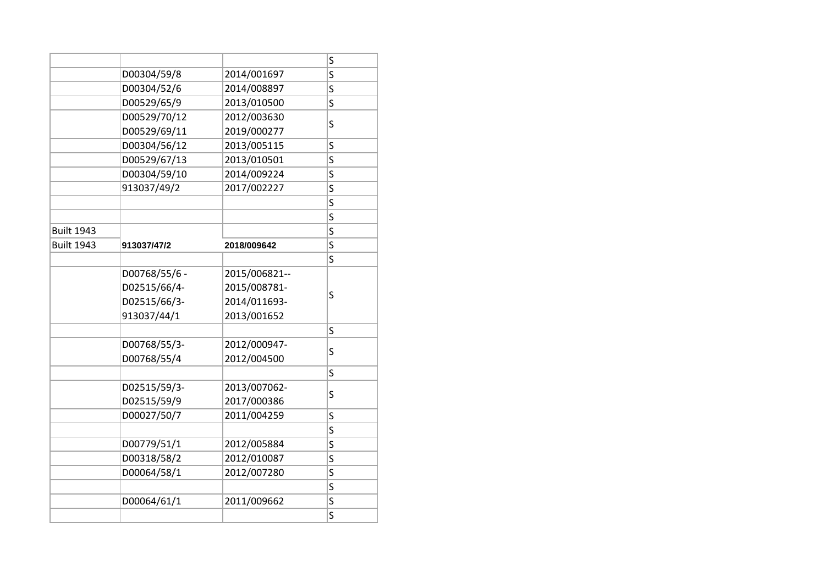|                   |               |               | S |
|-------------------|---------------|---------------|---|
|                   | D00304/59/8   | 2014/001697   | S |
|                   | D00304/52/6   | 2014/008897   | S |
|                   | D00529/65/9   | 2013/010500   | S |
|                   | D00529/70/12  | 2012/003630   |   |
|                   | D00529/69/11  | 2019/000277   | S |
|                   | D00304/56/12  | 2013/005115   | S |
|                   | D00529/67/13  | 2013/010501   | S |
|                   | D00304/59/10  | 2014/009224   | Ś |
|                   | 913037/49/2   | 2017/002227   | S |
|                   |               |               | S |
|                   |               |               | S |
| <b>Built 1943</b> |               |               | S |
| <b>Built 1943</b> | 913037/47/2   | 2018/009642   | Ś |
|                   |               |               | S |
|                   | D00768/55/6 - | 2015/006821-- |   |
|                   | D02515/66/4-  | 2015/008781-  |   |
|                   | D02515/66/3-  | 2014/011693-  | S |
|                   | 913037/44/1   | 2013/001652   |   |
|                   |               |               | S |
|                   | D00768/55/3-  | 2012/000947-  |   |
|                   | D00768/55/4   | 2012/004500   | S |
|                   |               |               | S |
|                   | D02515/59/3-  | 2013/007062-  |   |
|                   | D02515/59/9   | 2017/000386   | S |
|                   | D00027/50/7   | 2011/004259   | S |
|                   |               |               | S |
|                   | D00779/51/1   | 2012/005884   | S |
|                   | D00318/58/2   | 2012/010087   | Ś |
|                   | D00064/58/1   | 2012/007280   | S |
|                   |               |               | S |
|                   | D00064/61/1   | 2011/009662   | S |
|                   |               |               | S |
|                   |               |               |   |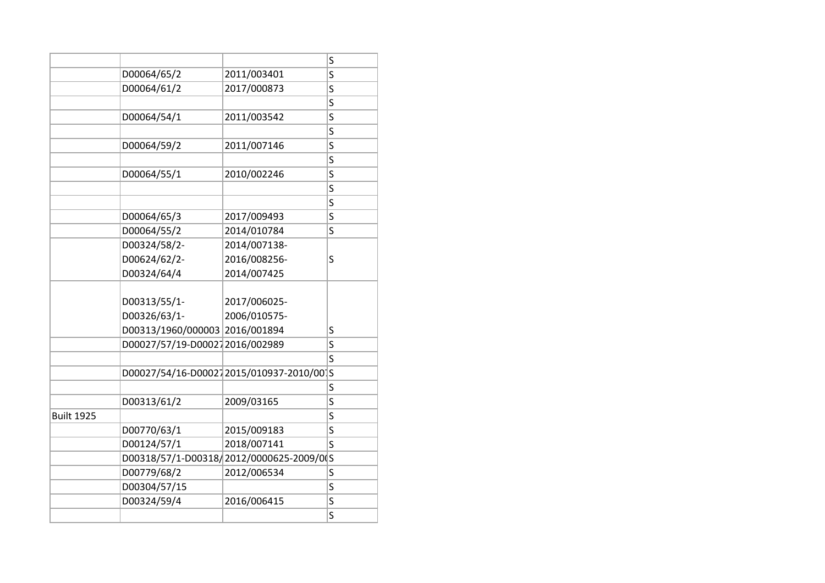|                   |                                |                                          | S |
|-------------------|--------------------------------|------------------------------------------|---|
|                   | D00064/65/2                    | 2011/003401                              | S |
|                   | D00064/61/2                    | 2017/000873                              | S |
|                   |                                |                                          | S |
|                   | D00064/54/1                    | 2011/003542                              | S |
|                   |                                |                                          | S |
|                   | D00064/59/2                    | 2011/007146                              | S |
|                   |                                |                                          | S |
|                   | D00064/55/1                    | 2010/002246                              | S |
|                   |                                |                                          | S |
|                   |                                |                                          | S |
|                   | D00064/65/3                    | 2017/009493                              | S |
|                   | D00064/55/2                    | 2014/010784                              | S |
|                   | D00324/58/2-                   | 2014/007138-                             |   |
|                   | D00624/62/2-                   | 2016/008256-                             | S |
|                   | D00324/64/4                    | 2014/007425                              |   |
|                   |                                |                                          |   |
|                   | D00313/55/1-                   | 2017/006025-                             |   |
|                   | D00326/63/1-                   | 2006/010575-                             |   |
|                   | D00313/1960/000003 2016/001894 |                                          | S |
|                   | D00027/57/19-D000272016/002989 |                                          | S |
|                   |                                |                                          | S |
|                   |                                | D00027/54/16-D000272015/010937-2010/00 S |   |
|                   |                                |                                          | S |
|                   | D00313/61/2                    | 2009/03165                               | S |
| <b>Built 1925</b> |                                |                                          | S |
|                   | D00770/63/1                    | 2015/009183                              | S |
|                   | D00124/57/1                    | 2018/007141                              | S |
|                   |                                | D00318/57/1-D00318/2012/0000625-2009/0(S |   |
|                   | D00779/68/2                    | 2012/006534                              | S |
|                   | D00304/57/15                   |                                          | S |
|                   | D00324/59/4                    | 2016/006415                              | S |
|                   |                                |                                          | S |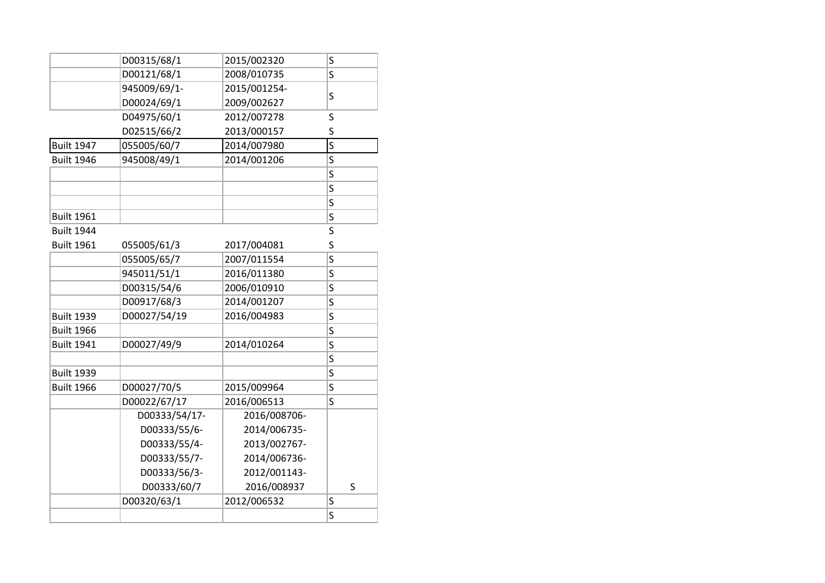| D00315/68/1<br>2015/002320<br>S<br>D00121/68/1<br>S<br>2008/010735<br>945009/69/1-<br>2015/001254-<br>S<br>D00024/69/1<br>2009/002627<br>D04975/60/1<br>2012/007278<br>S<br>S<br>D02515/66/2<br>2013/000157<br>$\overline{\mathsf{s}}$<br><b>Built 1947</b><br>2014/007980<br>055005/60/7<br>S<br><b>Built 1946</b><br>945008/49/1<br>2014/001206<br>S<br>S<br>S<br><b>Built 1961</b><br>S<br><b>Built 1944</b><br>S<br>S<br><b>Built 1961</b><br>055005/61/3<br>2017/004081<br>S<br>055005/65/7<br>2007/011554<br>2016/011380<br>945011/51/1<br>S<br>S<br>2006/010910<br>D00315/54/6<br>D00917/68/3<br>2014/001207<br>S<br>2016/004983<br><b>Built 1939</b><br>D00027/54/19<br>S<br>S<br><b>Built 1966</b><br>D00027/49/9<br>S<br><b>Built 1941</b><br>2014/010264<br>S<br><b>Built 1939</b><br>S<br>S<br><b>Built 1966</b><br>D00027/70/5<br>2015/009964<br>D00022/67/17<br>2016/006513<br>Ś<br>D00333/54/17-<br>2016/008706-<br>2014/006735-<br>D00333/55/6-<br>2013/002767-<br>D00333/55/4-<br>D00333/55/7-<br>2014/006736-<br>D00333/56/3-<br>2012/001143-<br>D00333/60/7<br>2016/008937<br>S |             |             |   |
|----------------------------------------------------------------------------------------------------------------------------------------------------------------------------------------------------------------------------------------------------------------------------------------------------------------------------------------------------------------------------------------------------------------------------------------------------------------------------------------------------------------------------------------------------------------------------------------------------------------------------------------------------------------------------------------------------------------------------------------------------------------------------------------------------------------------------------------------------------------------------------------------------------------------------------------------------------------------------------------------------------------------------------------------------------------------------------------------------|-------------|-------------|---|
|                                                                                                                                                                                                                                                                                                                                                                                                                                                                                                                                                                                                                                                                                                                                                                                                                                                                                                                                                                                                                                                                                                    |             |             |   |
|                                                                                                                                                                                                                                                                                                                                                                                                                                                                                                                                                                                                                                                                                                                                                                                                                                                                                                                                                                                                                                                                                                    |             |             |   |
|                                                                                                                                                                                                                                                                                                                                                                                                                                                                                                                                                                                                                                                                                                                                                                                                                                                                                                                                                                                                                                                                                                    |             |             |   |
|                                                                                                                                                                                                                                                                                                                                                                                                                                                                                                                                                                                                                                                                                                                                                                                                                                                                                                                                                                                                                                                                                                    |             |             |   |
|                                                                                                                                                                                                                                                                                                                                                                                                                                                                                                                                                                                                                                                                                                                                                                                                                                                                                                                                                                                                                                                                                                    |             |             |   |
|                                                                                                                                                                                                                                                                                                                                                                                                                                                                                                                                                                                                                                                                                                                                                                                                                                                                                                                                                                                                                                                                                                    |             |             |   |
|                                                                                                                                                                                                                                                                                                                                                                                                                                                                                                                                                                                                                                                                                                                                                                                                                                                                                                                                                                                                                                                                                                    |             |             |   |
|                                                                                                                                                                                                                                                                                                                                                                                                                                                                                                                                                                                                                                                                                                                                                                                                                                                                                                                                                                                                                                                                                                    |             |             |   |
|                                                                                                                                                                                                                                                                                                                                                                                                                                                                                                                                                                                                                                                                                                                                                                                                                                                                                                                                                                                                                                                                                                    |             |             |   |
|                                                                                                                                                                                                                                                                                                                                                                                                                                                                                                                                                                                                                                                                                                                                                                                                                                                                                                                                                                                                                                                                                                    |             |             |   |
|                                                                                                                                                                                                                                                                                                                                                                                                                                                                                                                                                                                                                                                                                                                                                                                                                                                                                                                                                                                                                                                                                                    |             |             |   |
|                                                                                                                                                                                                                                                                                                                                                                                                                                                                                                                                                                                                                                                                                                                                                                                                                                                                                                                                                                                                                                                                                                    |             |             |   |
|                                                                                                                                                                                                                                                                                                                                                                                                                                                                                                                                                                                                                                                                                                                                                                                                                                                                                                                                                                                                                                                                                                    |             |             |   |
|                                                                                                                                                                                                                                                                                                                                                                                                                                                                                                                                                                                                                                                                                                                                                                                                                                                                                                                                                                                                                                                                                                    |             |             |   |
|                                                                                                                                                                                                                                                                                                                                                                                                                                                                                                                                                                                                                                                                                                                                                                                                                                                                                                                                                                                                                                                                                                    |             |             |   |
|                                                                                                                                                                                                                                                                                                                                                                                                                                                                                                                                                                                                                                                                                                                                                                                                                                                                                                                                                                                                                                                                                                    |             |             |   |
|                                                                                                                                                                                                                                                                                                                                                                                                                                                                                                                                                                                                                                                                                                                                                                                                                                                                                                                                                                                                                                                                                                    |             |             |   |
|                                                                                                                                                                                                                                                                                                                                                                                                                                                                                                                                                                                                                                                                                                                                                                                                                                                                                                                                                                                                                                                                                                    |             |             |   |
|                                                                                                                                                                                                                                                                                                                                                                                                                                                                                                                                                                                                                                                                                                                                                                                                                                                                                                                                                                                                                                                                                                    |             |             |   |
|                                                                                                                                                                                                                                                                                                                                                                                                                                                                                                                                                                                                                                                                                                                                                                                                                                                                                                                                                                                                                                                                                                    |             |             |   |
|                                                                                                                                                                                                                                                                                                                                                                                                                                                                                                                                                                                                                                                                                                                                                                                                                                                                                                                                                                                                                                                                                                    |             |             |   |
|                                                                                                                                                                                                                                                                                                                                                                                                                                                                                                                                                                                                                                                                                                                                                                                                                                                                                                                                                                                                                                                                                                    |             |             |   |
|                                                                                                                                                                                                                                                                                                                                                                                                                                                                                                                                                                                                                                                                                                                                                                                                                                                                                                                                                                                                                                                                                                    |             |             |   |
|                                                                                                                                                                                                                                                                                                                                                                                                                                                                                                                                                                                                                                                                                                                                                                                                                                                                                                                                                                                                                                                                                                    |             |             |   |
|                                                                                                                                                                                                                                                                                                                                                                                                                                                                                                                                                                                                                                                                                                                                                                                                                                                                                                                                                                                                                                                                                                    |             |             |   |
|                                                                                                                                                                                                                                                                                                                                                                                                                                                                                                                                                                                                                                                                                                                                                                                                                                                                                                                                                                                                                                                                                                    |             |             |   |
|                                                                                                                                                                                                                                                                                                                                                                                                                                                                                                                                                                                                                                                                                                                                                                                                                                                                                                                                                                                                                                                                                                    |             |             |   |
|                                                                                                                                                                                                                                                                                                                                                                                                                                                                                                                                                                                                                                                                                                                                                                                                                                                                                                                                                                                                                                                                                                    |             |             |   |
|                                                                                                                                                                                                                                                                                                                                                                                                                                                                                                                                                                                                                                                                                                                                                                                                                                                                                                                                                                                                                                                                                                    |             |             |   |
|                                                                                                                                                                                                                                                                                                                                                                                                                                                                                                                                                                                                                                                                                                                                                                                                                                                                                                                                                                                                                                                                                                    |             |             |   |
|                                                                                                                                                                                                                                                                                                                                                                                                                                                                                                                                                                                                                                                                                                                                                                                                                                                                                                                                                                                                                                                                                                    |             |             |   |
|                                                                                                                                                                                                                                                                                                                                                                                                                                                                                                                                                                                                                                                                                                                                                                                                                                                                                                                                                                                                                                                                                                    | D00320/63/1 | 2012/006532 | S |
| S                                                                                                                                                                                                                                                                                                                                                                                                                                                                                                                                                                                                                                                                                                                                                                                                                                                                                                                                                                                                                                                                                                  |             |             |   |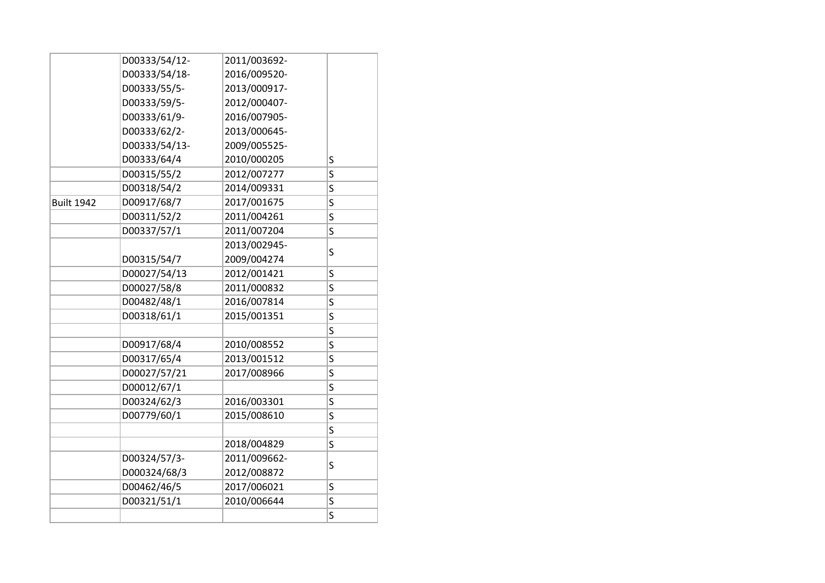|                   | D00333/54/12- | 2011/003692- |   |
|-------------------|---------------|--------------|---|
|                   | D00333/54/18- | 2016/009520- |   |
|                   | D00333/55/5-  | 2013/000917- |   |
|                   | D00333/59/5-  | 2012/000407- |   |
|                   | D00333/61/9-  | 2016/007905- |   |
|                   | D00333/62/2-  | 2013/000645- |   |
|                   | D00333/54/13- | 2009/005525- |   |
|                   | D00333/64/4   | 2010/000205  | S |
|                   | D00315/55/2   | 2012/007277  | S |
|                   | D00318/54/2   | 2014/009331  | S |
| <b>Built 1942</b> | D00917/68/7   | 2017/001675  | S |
|                   | D00311/52/2   | 2011/004261  | S |
|                   | D00337/57/1   | 2011/007204  | S |
|                   |               | 2013/002945- |   |
|                   | D00315/54/7   | 2009/004274  | S |
|                   | D00027/54/13  | 2012/001421  | S |
|                   | D00027/58/8   | 2011/000832  | S |
|                   | D00482/48/1   | 2016/007814  | S |
|                   | D00318/61/1   | 2015/001351  | S |
|                   |               |              | S |
|                   | D00917/68/4   | 2010/008552  | S |
|                   | D00317/65/4   | 2013/001512  | S |
|                   | D00027/57/21  | 2017/008966  | S |
|                   | D00012/67/1   |              | S |
|                   | D00324/62/3   | 2016/003301  | S |
|                   | D00779/60/1   | 2015/008610  | S |
|                   |               |              | S |
|                   |               | 2018/004829  | S |
|                   | D00324/57/3-  | 2011/009662- | S |
|                   | D000324/68/3  | 2012/008872  |   |
|                   | D00462/46/5   | 2017/006021  | S |
|                   | D00321/51/1   | 2010/006644  | S |
|                   |               |              | S |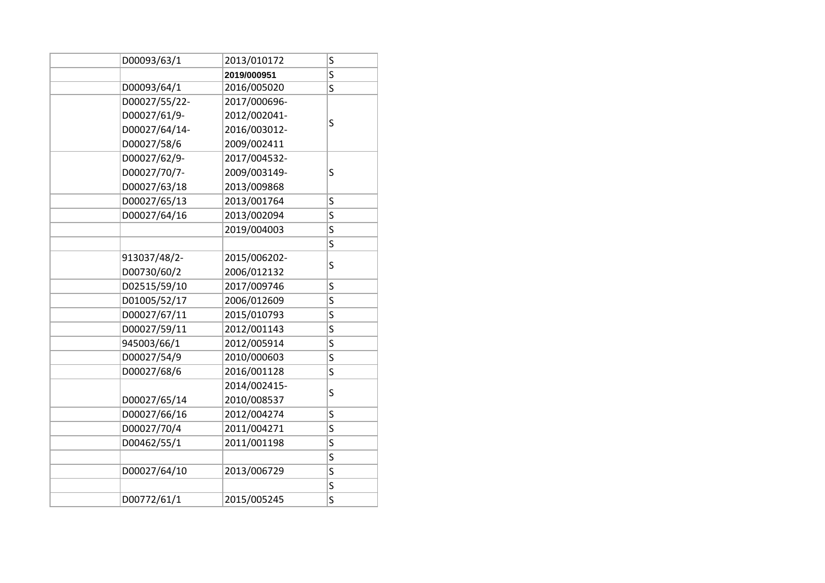| D00093/63/1   | 2013/010172  | S |
|---------------|--------------|---|
|               | 2019/000951  | S |
| D00093/64/1   | 2016/005020  | S |
| D00027/55/22- | 2017/000696- |   |
| D00027/61/9-  | 2012/002041- | S |
| D00027/64/14- | 2016/003012- |   |
| D00027/58/6   | 2009/002411  |   |
| D00027/62/9-  | 2017/004532- |   |
| D00027/70/7-  | 2009/003149- | S |
| D00027/63/18  | 2013/009868  |   |
| D00027/65/13  | 2013/001764  | S |
| D00027/64/16  | 2013/002094  | S |
|               | 2019/004003  | S |
|               |              | S |
| 913037/48/2-  | 2015/006202- |   |
| D00730/60/2   | 2006/012132  | S |
| D02515/59/10  | 2017/009746  | S |
| D01005/52/17  | 2006/012609  | S |
| D00027/67/11  | 2015/010793  | S |
| D00027/59/11  | 2012/001143  | S |
| 945003/66/1   | 2012/005914  | S |
| D00027/54/9   | 2010/000603  | S |
| D00027/68/6   | 2016/001128  | S |
|               | 2014/002415- |   |
| D00027/65/14  | 2010/008537  | S |
| D00027/66/16  | 2012/004274  | S |
| D00027/70/4   | 2011/004271  | S |
| D00462/55/1   | 2011/001198  | S |
|               |              | S |
| D00027/64/10  | 2013/006729  | S |
|               |              | S |
| D00772/61/1   | 2015/005245  | S |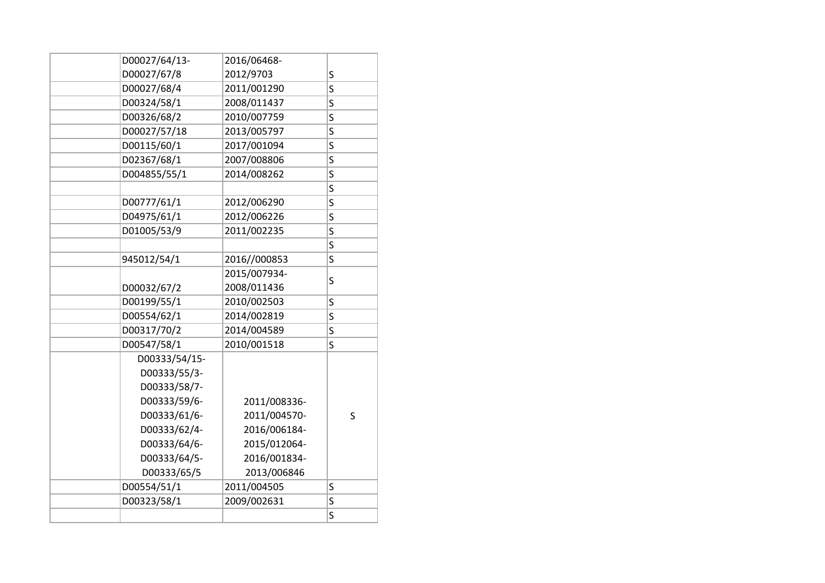| D00027/64/13- | 2016/06468-  |   |
|---------------|--------------|---|
| D00027/67/8   | 2012/9703    | S |
| D00027/68/4   | 2011/001290  | S |
| D00324/58/1   | 2008/011437  | S |
| D00326/68/2   | 2010/007759  | S |
| D00027/57/18  | 2013/005797  | S |
| D00115/60/1   | 2017/001094  | S |
| D02367/68/1   | 2007/008806  | S |
| D004855/55/1  | 2014/008262  | S |
|               |              | S |
| D00777/61/1   | 2012/006290  | S |
| D04975/61/1   | 2012/006226  | S |
| D01005/53/9   | 2011/002235  | S |
|               |              | S |
| 945012/54/1   | 2016//000853 | S |
|               | 2015/007934- |   |
| D00032/67/2   | 2008/011436  | S |
| D00199/55/1   | 2010/002503  | S |
| D00554/62/1   | 2014/002819  | S |
| D00317/70/2   | 2014/004589  | S |
| D00547/58/1   | 2010/001518  | Ś |
| D00333/54/15- |              |   |
| D00333/55/3-  |              |   |
| D00333/58/7-  |              |   |
| D00333/59/6-  | 2011/008336- |   |
| D00333/61/6-  | 2011/004570- | S |
| D00333/62/4-  | 2016/006184- |   |
| D00333/64/6-  | 2015/012064- |   |
| D00333/64/5-  | 2016/001834- |   |
| D00333/65/5   | 2013/006846  |   |
| D00554/51/1   | 2011/004505  | S |
| D00323/58/1   | 2009/002631  | S |
|               |              | S |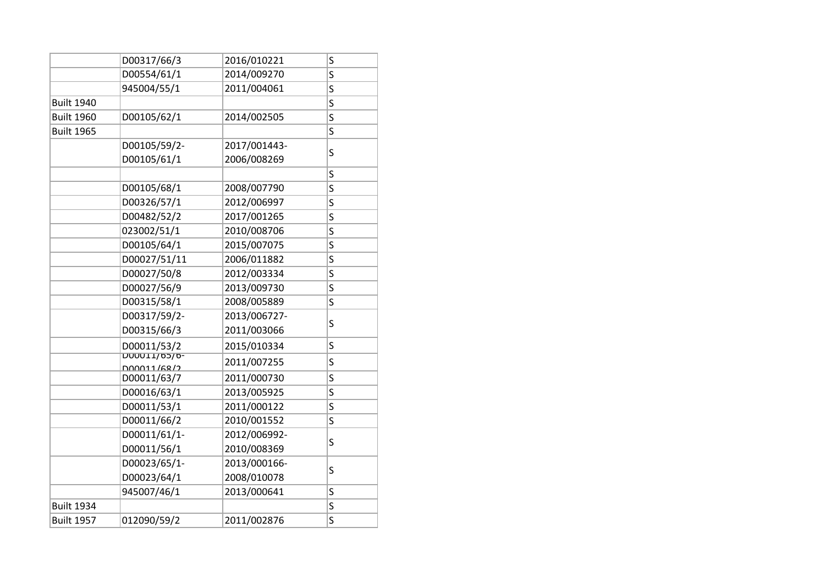|                   | D00317/66/3                       | 2016/010221  | S                       |
|-------------------|-----------------------------------|--------------|-------------------------|
|                   | D00554/61/1                       | 2014/009270  | S                       |
|                   | 945004/55/1                       | 2011/004061  | S                       |
| <b>Built 1940</b> |                                   |              | S                       |
| <b>Built 1960</b> | D00105/62/1                       | 2014/002505  | S                       |
| <b>Built 1965</b> |                                   |              | S                       |
|                   | D00105/59/2-                      | 2017/001443- | S                       |
|                   | D00105/61/1                       | 2006/008269  |                         |
|                   |                                   |              | S                       |
|                   | D00105/68/1                       | 2008/007790  | S                       |
|                   | D00326/57/1                       | 2012/006997  | S                       |
|                   | D00482/52/2                       | 2017/001265  | S                       |
|                   | 023002/51/1                       | 2010/008706  | S                       |
|                   | D00105/64/1                       | 2015/007075  | S                       |
|                   | D00027/51/11                      | 2006/011882  | S                       |
|                   | D00027/50/8                       | 2012/003334  | S                       |
|                   | D00027/56/9                       | 2013/009730  | S                       |
|                   | D00315/58/1                       | 2008/005889  | S                       |
|                   | D00317/59/2-                      | 2013/006727- | S                       |
|                   | D00315/66/3                       | 2011/003066  |                         |
|                   | D00011/53/2                       | 2015/010334  | S                       |
|                   | -0/cd/TT0000                      | 2011/007255  | S                       |
|                   | <u>000011/68/2</u><br>D00011/63/7 | 2011/000730  | S                       |
|                   | D00016/63/1                       | 2013/005925  | S                       |
|                   | D00011/53/1                       | 2011/000122  | S                       |
|                   | D00011/66/2                       | 2010/001552  | $\overline{\mathsf{S}}$ |
|                   | D00011/61/1-                      | 2012/006992- |                         |
|                   | D00011/56/1                       | 2010/008369  | S                       |
|                   | D00023/65/1-                      | 2013/000166- |                         |
|                   | D00023/64/1                       | 2008/010078  | S                       |
|                   | 945007/46/1                       | 2013/000641  | S                       |
| <b>Built 1934</b> |                                   |              | S                       |
| <b>Built 1957</b> | 012090/59/2                       | 2011/002876  | S                       |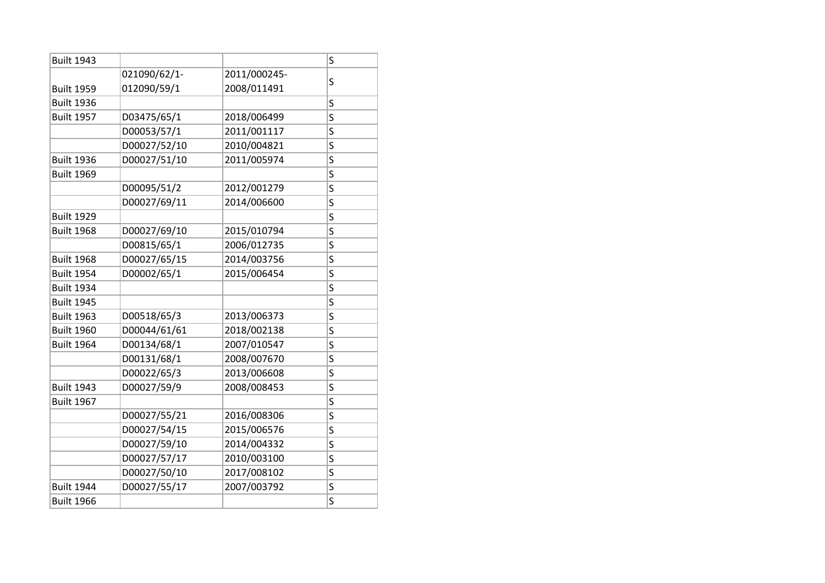| <b>Built 1943</b> |              |              | S                       |
|-------------------|--------------|--------------|-------------------------|
|                   | 021090/62/1- | 2011/000245- | S                       |
| <b>Built 1959</b> | 012090/59/1  | 2008/011491  |                         |
| <b>Built 1936</b> |              |              | S                       |
| <b>Built 1957</b> | D03475/65/1  | 2018/006499  | S                       |
|                   | D00053/57/1  | 2011/001117  | S                       |
|                   | D00027/52/10 | 2010/004821  | S                       |
| <b>Built 1936</b> | D00027/51/10 | 2011/005974  | S                       |
| <b>Built 1969</b> |              |              | S                       |
|                   | D00095/51/2  | 2012/001279  | S                       |
|                   | D00027/69/11 | 2014/006600  | S                       |
| <b>Built 1929</b> |              |              | S                       |
| <b>Built 1968</b> | D00027/69/10 | 2015/010794  | S                       |
|                   | D00815/65/1  | 2006/012735  | S                       |
| <b>Built 1968</b> | D00027/65/15 | 2014/003756  | S                       |
| <b>Built 1954</b> | D00002/65/1  | 2015/006454  | S                       |
| <b>Built 1934</b> |              |              | S                       |
| <b>Built 1945</b> |              |              | S                       |
| <b>Built 1963</b> | D00518/65/3  | 2013/006373  | S                       |
| <b>Built 1960</b> | D00044/61/61 | 2018/002138  | S                       |
| <b>Built 1964</b> | D00134/68/1  | 2007/010547  | S                       |
|                   | D00131/68/1  | 2008/007670  | S                       |
|                   | D00022/65/3  | 2013/006608  | S                       |
| <b>Built 1943</b> | D00027/59/9  | 2008/008453  | S                       |
| <b>Built 1967</b> |              |              | S                       |
|                   | D00027/55/21 | 2016/008306  | S                       |
|                   | D00027/54/15 | 2015/006576  | S                       |
|                   | D00027/59/10 | 2014/004332  | S                       |
|                   | D00027/57/17 | 2010/003100  | S                       |
|                   | D00027/50/10 | 2017/008102  | S                       |
| <b>Built 1944</b> | D00027/55/17 | 2007/003792  | S                       |
| <b>Built 1966</b> |              |              | $\overline{\mathsf{S}}$ |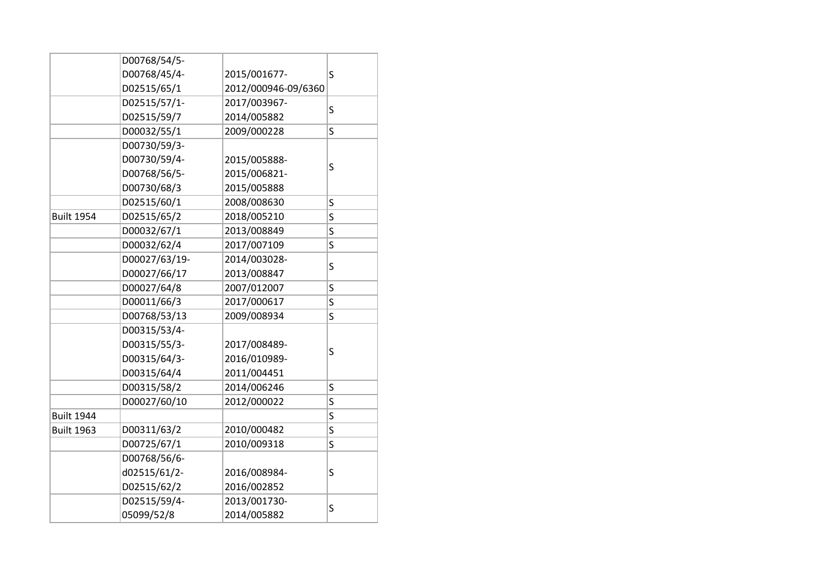|                   | D00768/54/5-  |                     |   |
|-------------------|---------------|---------------------|---|
|                   | D00768/45/4-  | 2015/001677-        | S |
|                   | D02515/65/1   | 2012/000946-09/6360 |   |
|                   | D02515/57/1-  | 2017/003967-        |   |
|                   | D02515/59/7   | 2014/005882         | S |
|                   | D00032/55/1   | 2009/000228         | S |
|                   | D00730/59/3-  |                     |   |
|                   | D00730/59/4-  | 2015/005888-        |   |
|                   | D00768/56/5-  | 2015/006821-        | S |
|                   | D00730/68/3   | 2015/005888         |   |
|                   | D02515/60/1   | 2008/008630         | S |
| <b>Built 1954</b> | D02515/65/2   | 2018/005210         | S |
|                   | D00032/67/1   | 2013/008849         | S |
|                   | D00032/62/4   | 2017/007109         | S |
|                   | D00027/63/19- | 2014/003028-        |   |
|                   | D00027/66/17  | 2013/008847         | S |
|                   | D00027/64/8   | 2007/012007         | Ś |
|                   | D00011/66/3   | 2017/000617         | S |
|                   | D00768/53/13  | 2009/008934         | S |
|                   | D00315/53/4-  |                     |   |
|                   | D00315/55/3-  | 2017/008489-        |   |
|                   | D00315/64/3-  | 2016/010989-        | S |
|                   | D00315/64/4   | 2011/004451         |   |
|                   | D00315/58/2   | 2014/006246         | S |
|                   | D00027/60/10  | 2012/000022         | S |
| <b>Built 1944</b> |               |                     | S |
| <b>Built 1963</b> | D00311/63/2   | 2010/000482         | S |
|                   | D00725/67/1   | 2010/009318         | S |
|                   | D00768/56/6-  |                     |   |
|                   | d02515/61/2-  | 2016/008984-        | S |
|                   | D02515/62/2   | 2016/002852         |   |
|                   | D02515/59/4-  | 2013/001730-        |   |
|                   | 05099/52/8    | 2014/005882         | S |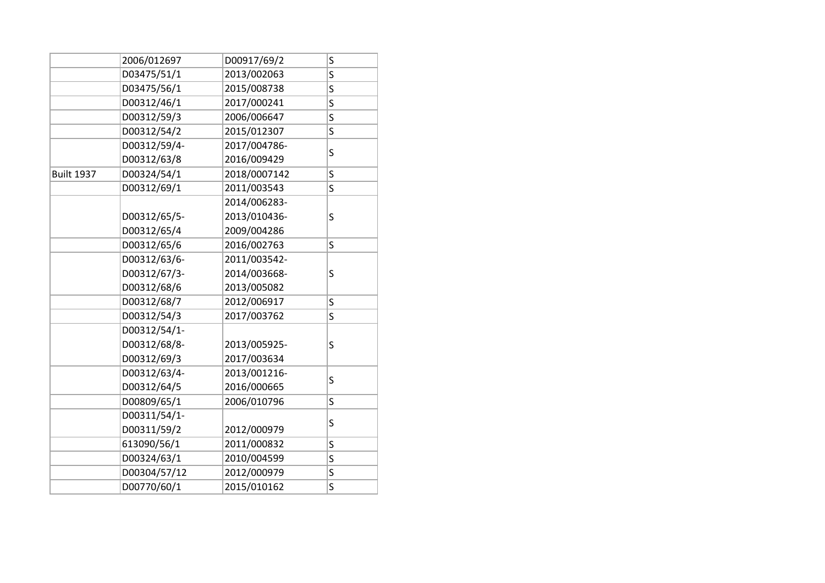|                   | 2006/012697  | D00917/69/2  | S |
|-------------------|--------------|--------------|---|
|                   | D03475/51/1  | 2013/002063  | S |
|                   | D03475/56/1  | 2015/008738  | S |
|                   | D00312/46/1  | 2017/000241  | S |
|                   | D00312/59/3  | 2006/006647  | S |
|                   | D00312/54/2  | 2015/012307  | S |
|                   | D00312/59/4- | 2017/004786- |   |
|                   | D00312/63/8  | 2016/009429  | S |
| <b>Built 1937</b> | D00324/54/1  | 2018/0007142 | S |
|                   | D00312/69/1  | 2011/003543  | S |
|                   |              | 2014/006283- |   |
|                   | D00312/65/5- | 2013/010436- | S |
|                   | D00312/65/4  | 2009/004286  |   |
|                   | D00312/65/6  | 2016/002763  | S |
|                   | D00312/63/6- | 2011/003542- |   |
|                   | D00312/67/3- | 2014/003668- | S |
|                   | D00312/68/6  | 2013/005082  |   |
|                   | D00312/68/7  | 2012/006917  | S |
|                   | D00312/54/3  | 2017/003762  | S |
|                   | D00312/54/1- |              |   |
|                   | D00312/68/8- | 2013/005925- | S |
|                   | D00312/69/3  | 2017/003634  |   |
|                   | D00312/63/4- | 2013/001216- | S |
|                   | D00312/64/5  | 2016/000665  |   |
|                   | D00809/65/1  | 2006/010796  | S |
|                   | D00311/54/1- |              | S |
|                   | D00311/59/2  | 2012/000979  |   |
|                   | 613090/56/1  | 2011/000832  | S |
|                   | D00324/63/1  | 2010/004599  | S |
|                   | D00304/57/12 | 2012/000979  | S |
|                   | D00770/60/1  | 2015/010162  | S |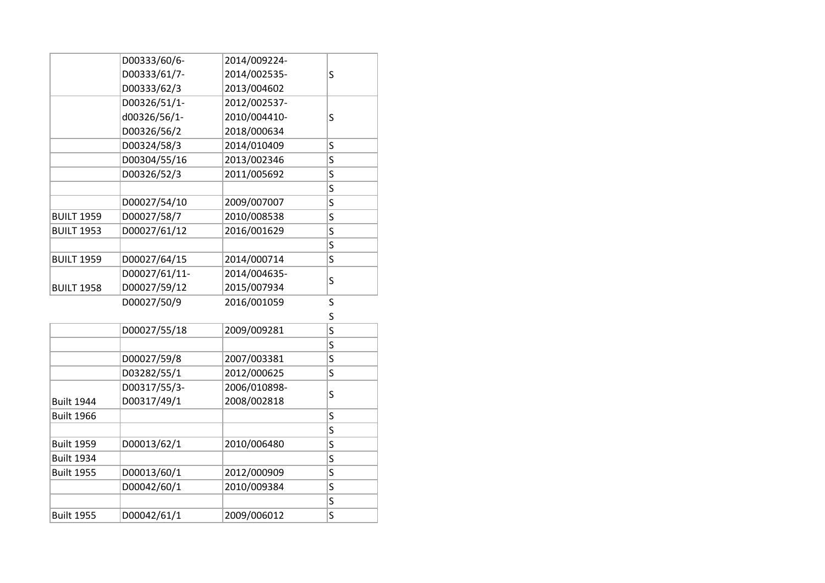|                   | D00333/60/6-  | 2014/009224- |   |
|-------------------|---------------|--------------|---|
|                   | D00333/61/7-  | 2014/002535- | S |
|                   | D00333/62/3   | 2013/004602  |   |
|                   | D00326/51/1-  | 2012/002537- |   |
|                   | d00326/56/1-  | 2010/004410- | S |
|                   | D00326/56/2   | 2018/000634  |   |
|                   | D00324/58/3   | 2014/010409  | S |
|                   | D00304/55/16  | 2013/002346  | S |
|                   | D00326/52/3   | 2011/005692  | S |
|                   |               |              | S |
|                   | D00027/54/10  | 2009/007007  | S |
| <b>BUILT 1959</b> | D00027/58/7   | 2010/008538  | S |
| <b>BUILT 1953</b> | D00027/61/12  | 2016/001629  | S |
|                   |               |              | S |
| <b>BUILT 1959</b> | D00027/64/15  | 2014/000714  | S |
|                   | D00027/61/11- | 2014/004635- |   |
| <b>BUILT 1958</b> | D00027/59/12  | 2015/007934  | S |
|                   | D00027/50/9   | 2016/001059  | S |
|                   |               |              | S |
|                   | D00027/55/18  | 2009/009281  | S |
|                   |               |              | S |
|                   | D00027/59/8   | 2007/003381  | S |
|                   | D03282/55/1   | 2012/000625  | S |
|                   | D00317/55/3-  | 2006/010898- |   |
| <b>Built 1944</b> | D00317/49/1   | 2008/002818  | S |
| <b>Built 1966</b> |               |              | S |
|                   |               |              | S |
| <b>Built 1959</b> | D00013/62/1   | 2010/006480  | S |
| <b>Built 1934</b> |               |              | S |
| <b>Built 1955</b> | D00013/60/1   | 2012/000909  | S |
|                   | D00042/60/1   | 2010/009384  | S |
|                   |               |              | S |
| <b>Built 1955</b> | D00042/61/1   | 2009/006012  | S |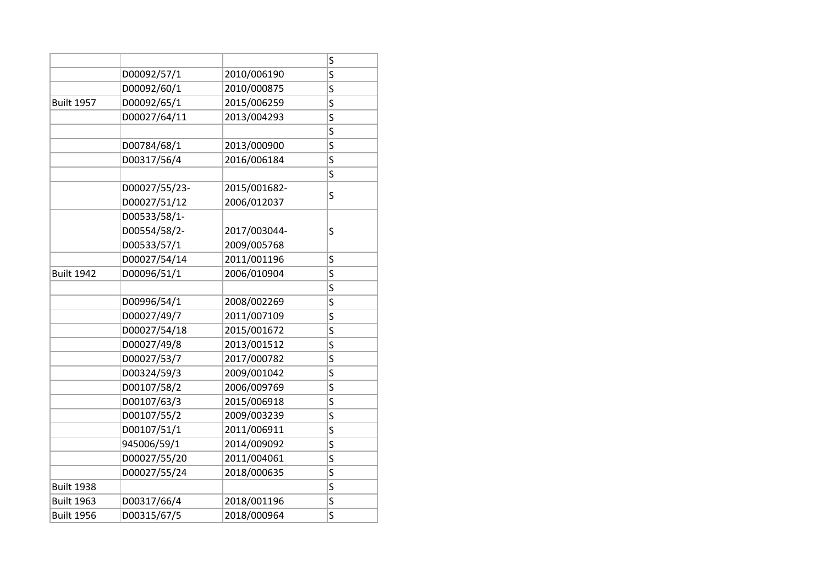|                   |               |              | S                       |
|-------------------|---------------|--------------|-------------------------|
|                   | D00092/57/1   | 2010/006190  | $\overline{\mathsf{S}}$ |
|                   | D00092/60/1   | 2010/000875  | S                       |
| <b>Built 1957</b> | D00092/65/1   | 2015/006259  | S                       |
|                   | D00027/64/11  | 2013/004293  | S                       |
|                   |               |              | S                       |
|                   | D00784/68/1   | 2013/000900  | $\overline{\mathsf{S}}$ |
|                   | D00317/56/4   | 2016/006184  | S                       |
|                   |               |              | $\overline{\mathsf{s}}$ |
|                   | D00027/55/23- | 2015/001682- |                         |
|                   | D00027/51/12  | 2006/012037  | S                       |
|                   | D00533/58/1-  |              |                         |
|                   | D00554/58/2-  | 2017/003044- | S                       |
|                   | D00533/57/1   | 2009/005768  |                         |
|                   | D00027/54/14  | 2011/001196  | S                       |
| <b>Built 1942</b> | D00096/51/1   | 2006/010904  | S                       |
|                   |               |              | $\overline{\mathsf{S}}$ |
|                   | D00996/54/1   | 2008/002269  | S                       |
|                   | D00027/49/7   | 2011/007109  | S                       |
|                   | D00027/54/18  | 2015/001672  | S                       |
|                   | D00027/49/8   | 2013/001512  | S                       |
|                   | D00027/53/7   | 2017/000782  | $\overline{\mathsf{S}}$ |
|                   | D00324/59/3   | 2009/001042  | S                       |
|                   | D00107/58/2   | 2006/009769  | S                       |
|                   | D00107/63/3   | 2015/006918  | S                       |
|                   | D00107/55/2   | 2009/003239  | S                       |
|                   | D00107/51/1   | 2011/006911  | S                       |
|                   | 945006/59/1   | 2014/009092  | $\overline{\mathsf{S}}$ |
|                   | D00027/55/20  | 2011/004061  | S                       |
|                   | D00027/55/24  | 2018/000635  | S                       |
| <b>Built 1938</b> |               |              | S                       |
| <b>Built 1963</b> | D00317/66/4   | 2018/001196  | $\overline{\mathsf{S}}$ |
| <b>Built 1956</b> | D00315/67/5   | 2018/000964  | S                       |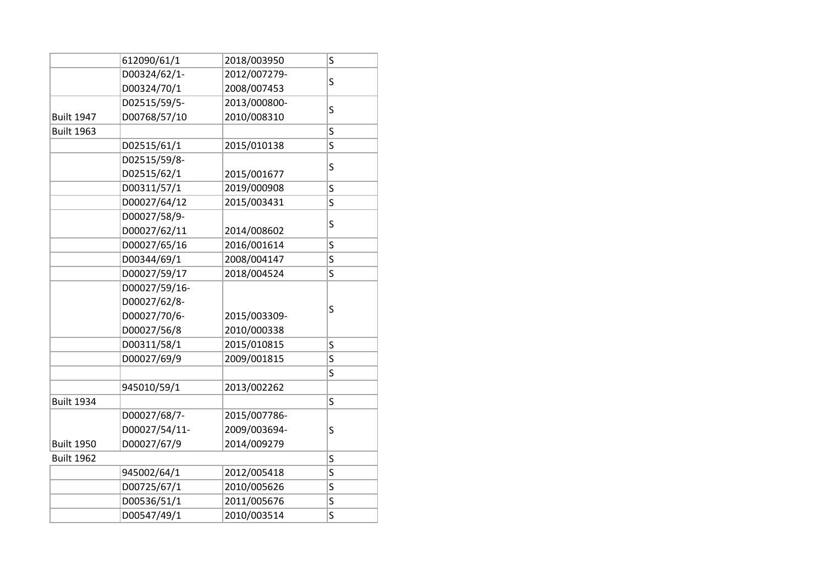|                   | 612090/61/1   | 2018/003950  | S |
|-------------------|---------------|--------------|---|
|                   | D00324/62/1-  | 2012/007279- |   |
|                   | D00324/70/1   | 2008/007453  | S |
|                   | D02515/59/5-  | 2013/000800- |   |
| <b>Built 1947</b> | D00768/57/10  | 2010/008310  | S |
| <b>Built 1963</b> |               |              | S |
|                   | D02515/61/1   | 2015/010138  | S |
|                   | D02515/59/8-  |              |   |
|                   | D02515/62/1   | 2015/001677  | S |
|                   | D00311/57/1   | 2019/000908  | S |
|                   | D00027/64/12  | 2015/003431  | S |
|                   | D00027/58/9-  |              |   |
|                   | D00027/62/11  | 2014/008602  | S |
|                   | D00027/65/16  | 2016/001614  | S |
|                   | D00344/69/1   | 2008/004147  | S |
|                   | D00027/59/17  | 2018/004524  | S |
|                   | D00027/59/16- |              |   |
|                   | D00027/62/8-  |              |   |
|                   | D00027/70/6-  | 2015/003309- | S |
|                   | D00027/56/8   | 2010/000338  |   |
|                   | D00311/58/1   | 2015/010815  | S |
|                   | D00027/69/9   | 2009/001815  | S |
|                   |               |              | S |
|                   | 945010/59/1   | 2013/002262  |   |
| <b>Built 1934</b> |               |              | S |
|                   | D00027/68/7-  | 2015/007786- |   |
|                   | D00027/54/11- | 2009/003694- | S |
| <b>Built 1950</b> | D00027/67/9   | 2014/009279  |   |
| <b>Built 1962</b> |               |              | S |
|                   | 945002/64/1   | 2012/005418  | S |
|                   | D00725/67/1   | 2010/005626  | S |
|                   | D00536/51/1   | 2011/005676  | S |
|                   | D00547/49/1   | 2010/003514  | S |